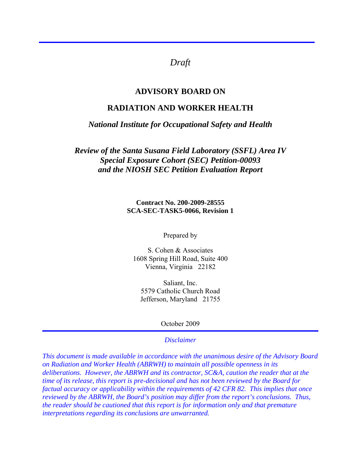# *Draft*

## **ADVISORY BOARD ON**

## **RADIATION AND WORKER HEALTH**

#### *National Institute for Occupational Safety and Health*

*Review of the Santa Susana Field Laboratory (SSFL) Area IV Special Exposure Cohort (SEC) Petition-00093 and the NIOSH SEC Petition Evaluation Report* 

> **Contract No. 200-2009-28555 SCA-SEC-TASK5-0066, Revision 1**

> > Prepared by

S. Cohen & Associates 1608 Spring Hill Road, Suite 400 Vienna, Virginia 22182

Saliant, Inc. 5579 Catholic Church Road Jefferson, Maryland 21755

October 2009

#### *Disclaimer*

*This document is made available in accordance with the unanimous desire of the Advisory Board on Radiation and Worker Health (ABRWH) to maintain all possible openness in its deliberations. However, the ABRWH and its contractor, SC&A, caution the reader that at the time of its release, this report is pre-decisional and has not been reviewed by the Board for factual accuracy or applicability within the requirements of 42 CFR 82. This implies that once reviewed by the ABRWH, the Board's position may differ from the report's conclusions. Thus, the reader should be cautioned that this report is for information only and that premature interpretations regarding its conclusions are unwarranted.*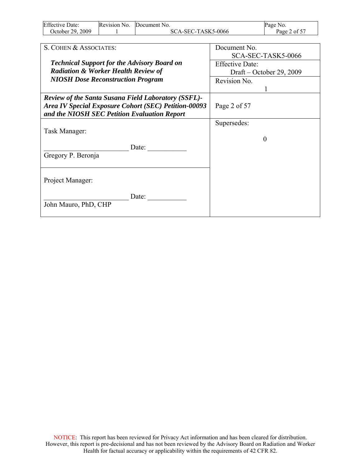| <b>Effective Date:</b> | Revision No. | Document No.       | Page No.     |
|------------------------|--------------|--------------------|--------------|
| October 29, 2009       |              | SCA-SEC-TASK5-0066 | Page 2 of 57 |

| S. COHEN & ASSOCIATES:                                                                                                                                                    | Document No.             |
|---------------------------------------------------------------------------------------------------------------------------------------------------------------------------|--------------------------|
|                                                                                                                                                                           | SCA-SEC-TASK5-0066       |
| <b>Technical Support for the Advisory Board on</b>                                                                                                                        | <b>Effective Date:</b>   |
| <b>Radiation &amp; Worker Health Review of</b>                                                                                                                            | Draft – October 29, 2009 |
| <b>NIOSH Dose Reconstruction Program</b>                                                                                                                                  | Revision No.             |
|                                                                                                                                                                           |                          |
| <b>Review of the Santa Susana Field Laboratory (SSFL)-</b><br><b>Area IV Special Exposure Cohort (SEC) Petition-00093</b><br>and the NIOSH SEC Petition Evaluation Report | Page 2 of 57             |
|                                                                                                                                                                           | Supersedes:              |
| Task Manager:                                                                                                                                                             |                          |
| Date:<br>Gregory P. Beronja                                                                                                                                               |                          |
| Project Manager:                                                                                                                                                          |                          |
| Date:<br>John Mauro, PhD, CHP                                                                                                                                             |                          |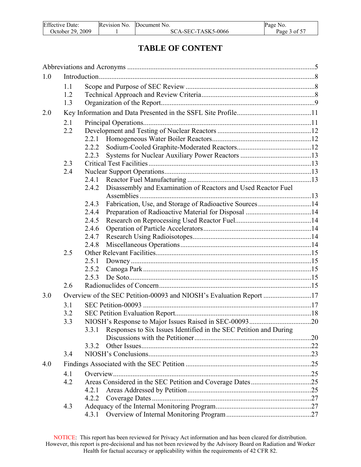| <b>Effective Date:</b> | Revision No. | Document No.       | Page No.     |
|------------------------|--------------|--------------------|--------------|
| October 29. 2009       |              | SCA-SEC-TASK5-0066 | Page 3 of 57 |

# **TABLE OF CONTENT**

| 1.0 |            |                                                                            |  |
|-----|------------|----------------------------------------------------------------------------|--|
|     | 1.1        |                                                                            |  |
|     | 1.2        |                                                                            |  |
|     | 1.3        |                                                                            |  |
| 2.0 |            |                                                                            |  |
|     | 2.1        |                                                                            |  |
|     | 2.2        |                                                                            |  |
|     |            | 2.2.1                                                                      |  |
|     |            | 2.2.2                                                                      |  |
|     |            | 2.2.3                                                                      |  |
|     | 2.3        |                                                                            |  |
|     | 2.4        |                                                                            |  |
|     |            | 2.4.1                                                                      |  |
|     |            | Disassembly and Examination of Reactors and Used Reactor Fuel<br>2.4.2     |  |
|     |            | Fabrication, Use, and Storage of Radioactive Sources14<br>2.4.3            |  |
|     |            | 2.4.4                                                                      |  |
|     |            | 2.4.5                                                                      |  |
|     |            | 2.4.6                                                                      |  |
|     |            | 2.4.7                                                                      |  |
|     |            | 2.4.8                                                                      |  |
|     | 2.5        |                                                                            |  |
|     |            | 2.5.1                                                                      |  |
|     |            | 2.5.2                                                                      |  |
|     | 2.6        | 2.5.3                                                                      |  |
|     |            |                                                                            |  |
| 3.0 |            | Overview of the SEC Petition-00093 and NIOSH's Evaluation Report 17        |  |
|     | 3.1        |                                                                            |  |
|     | 3.2        |                                                                            |  |
|     | 3.3        |                                                                            |  |
|     |            | Responses to Six Issues Identified in the SEC Petition and During<br>3.3.1 |  |
|     |            | 3.3.2                                                                      |  |
|     | 3.4        |                                                                            |  |
|     |            |                                                                            |  |
| 4.0 |            |                                                                            |  |
|     | 4.1<br>4.2 |                                                                            |  |
|     |            | 4.2.1                                                                      |  |
|     |            | 4.2.2                                                                      |  |
|     | 4.3        |                                                                            |  |
|     |            | 4.3.1                                                                      |  |
|     |            |                                                                            |  |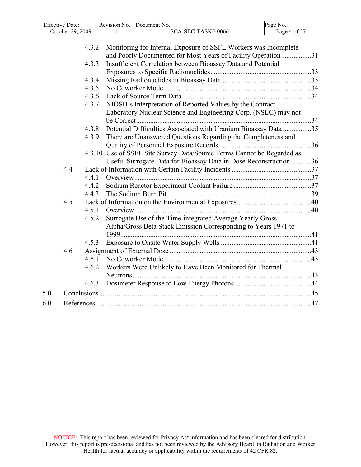| <b>Effective Date:</b> | Revision No. | Document No.       | Page No.     |
|------------------------|--------------|--------------------|--------------|
| October 29. 2009       |              | SCA-SEC-TASK5-0066 | Page 4 of 57 |
|                        |              |                    |              |

|     |     | 4.3.2 | Monitoring for Internal Exposure of SSFL Workers was Incomplete<br>and Poorly Documented for Most Years of Facility Operation31 |  |
|-----|-----|-------|---------------------------------------------------------------------------------------------------------------------------------|--|
|     |     | 4.3.3 | Insufficient Correlation between Bioassay Data and Potential                                                                    |  |
|     |     |       |                                                                                                                                 |  |
|     |     | 4.3.4 |                                                                                                                                 |  |
|     |     | 4.3.5 |                                                                                                                                 |  |
|     |     | 4.3.6 |                                                                                                                                 |  |
|     |     | 4.3.7 | NIOSH's Interpretation of Reported Values by the Contract                                                                       |  |
|     |     |       | Laboratory Nuclear Science and Engineering Corp. (NSEC) may not                                                                 |  |
|     |     |       |                                                                                                                                 |  |
|     |     | 4.3.8 | Potential Difficulties Associated with Uranium Bioassay Data 35                                                                 |  |
|     |     | 4.3.9 | There are Unanswered Questions Regarding the Completeness and                                                                   |  |
|     |     |       |                                                                                                                                 |  |
|     |     |       | 4.3.10 Use of SSFL Site Survey Data/Source Terms Cannot be Regarded as                                                          |  |
|     |     |       | Useful Surrogate Data for Bioassay Data in Dose Reconstruction36                                                                |  |
|     | 4.4 |       |                                                                                                                                 |  |
|     |     | 4.4.1 |                                                                                                                                 |  |
|     |     | 4.4.2 |                                                                                                                                 |  |
|     |     | 4.4.3 |                                                                                                                                 |  |
|     | 4.5 |       |                                                                                                                                 |  |
|     |     | 4.5.1 |                                                                                                                                 |  |
|     |     | 4.5.2 | Surrogate Use of the Time-integrated Average Yearly Gross                                                                       |  |
|     |     |       | Alpha/Gross Beta Stack Emission Corresponding to Years 1971 to                                                                  |  |
|     |     |       |                                                                                                                                 |  |
|     |     | 4.5.3 |                                                                                                                                 |  |
|     | 4.6 |       |                                                                                                                                 |  |
|     |     | 4.6.1 |                                                                                                                                 |  |
|     |     | 4.6.2 | Workers Were Unlikely to Have Been Monitored for Thermal                                                                        |  |
|     |     |       |                                                                                                                                 |  |
|     |     | 4.6.3 |                                                                                                                                 |  |
|     |     |       |                                                                                                                                 |  |
| 5.0 |     |       |                                                                                                                                 |  |
| 6.0 |     |       |                                                                                                                                 |  |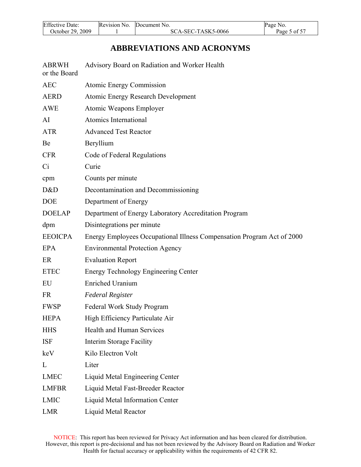<span id="page-4-0"></span>

| <b>Effective Date:</b> | Revision No. | Document No.       | Page No.     |
|------------------------|--------------|--------------------|--------------|
| October 29, 2009       |              | SCA-SEC-TASK5-0066 | Page 5 of 57 |

# **ABBREVIATIONS AND ACRONYMS**

| <b>ABRWH</b><br>or the Board | Advisory Board on Radiation and Worker Health                          |
|------------------------------|------------------------------------------------------------------------|
| <b>AEC</b>                   | <b>Atomic Energy Commission</b>                                        |
| <b>AERD</b>                  | <b>Atomic Energy Research Development</b>                              |
| <b>AWE</b>                   | Atomic Weapons Employer                                                |
| AI                           | Atomics International                                                  |
| <b>ATR</b>                   | <b>Advanced Test Reactor</b>                                           |
| Be                           | Beryllium                                                              |
| <b>CFR</b>                   | Code of Federal Regulations                                            |
| Ci                           | Curie                                                                  |
| cpm                          | Counts per minute                                                      |
| D&D                          | Decontamination and Decommissioning                                    |
| <b>DOE</b>                   | Department of Energy                                                   |
| <b>DOELAP</b>                | Department of Energy Laboratory Accreditation Program                  |
| dpm                          | Disintegrations per minute                                             |
| <b>EEOICPA</b>               | Energy Employees Occupational Illness Compensation Program Act of 2000 |
| EPA                          | <b>Environmental Protection Agency</b>                                 |
| ER                           | <b>Evaluation Report</b>                                               |
| <b>ETEC</b>                  | Energy Technology Engineering Center                                   |
| EU                           | <b>Enriched Uranium</b>                                                |
| <b>FR</b>                    | <b>Federal Register</b>                                                |
| <b>FWSP</b>                  | Federal Work Study Program                                             |
| <b>HEPA</b>                  | High Efficiency Particulate Air                                        |
| <b>HHS</b>                   | Health and Human Services                                              |
| <b>ISF</b>                   | Interim Storage Facility                                               |
| keV                          | Kilo Electron Volt                                                     |
| L                            | Liter                                                                  |
| <b>LMEC</b>                  | Liquid Metal Engineering Center                                        |
| <b>LMFBR</b>                 | Liquid Metal Fast-Breeder Reactor                                      |
| <b>LMIC</b>                  | Liquid Metal Information Center                                        |
| LMR                          | Liquid Metal Reactor                                                   |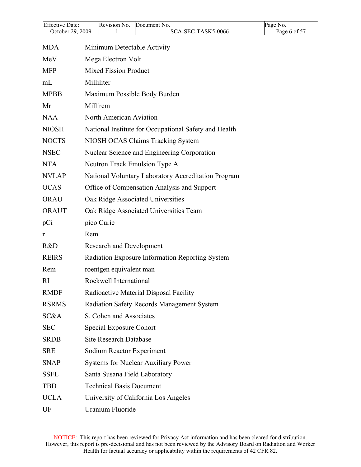| <b>Effective Date:</b> | Revision No.<br>Document No.                          | Page No.     |
|------------------------|-------------------------------------------------------|--------------|
| October 29, 2009       | SCA-SEC-TASK5-0066                                    | Page 6 of 57 |
| <b>MDA</b>             | Minimum Detectable Activity                           |              |
| MeV                    | Mega Electron Volt                                    |              |
| <b>MFP</b>             | <b>Mixed Fission Product</b>                          |              |
| mL                     | Milliliter                                            |              |
| <b>MPBB</b>            | Maximum Possible Body Burden                          |              |
| Mr                     | Millirem                                              |              |
| <b>NAA</b>             | North American Aviation                               |              |
| <b>NIOSH</b>           | National Institute for Occupational Safety and Health |              |
| <b>NOCTS</b>           | NIOSH OCAS Claims Tracking System                     |              |
| <b>NSEC</b>            | Nuclear Science and Engineering Corporation           |              |
| <b>NTA</b>             | Neutron Track Emulsion Type A                         |              |
| <b>NVLAP</b>           | National Voluntary Laboratory Accreditation Program   |              |
| <b>OCAS</b>            | Office of Compensation Analysis and Support           |              |
| <b>ORAU</b>            | Oak Ridge Associated Universities                     |              |
| <b>ORAUT</b>           | Oak Ridge Associated Universities Team                |              |
| pCi                    | pico Curie                                            |              |
| r                      | Rem                                                   |              |
| R&D                    | <b>Research and Development</b>                       |              |
| <b>REIRS</b>           | Radiation Exposure Information Reporting System       |              |
| Rem                    | roentgen equivalent man                               |              |
| RI                     | Rockwell International                                |              |
| <b>RMDF</b>            | Radioactive Material Disposal Facility                |              |
| <b>RSRMS</b>           | Radiation Safety Records Management System            |              |
| SC&A                   | S. Cohen and Associates                               |              |
| <b>SEC</b>             | <b>Special Exposure Cohort</b>                        |              |
| <b>SRDB</b>            | <b>Site Research Database</b>                         |              |
| <b>SRE</b>             | Sodium Reactor Experiment                             |              |
| <b>SNAP</b>            | <b>Systems for Nuclear Auxiliary Power</b>            |              |
| <b>SSFL</b>            | Santa Susana Field Laboratory                         |              |
| <b>TBD</b>             | <b>Technical Basis Document</b>                       |              |
| <b>UCLA</b>            | University of California Los Angeles                  |              |
| UF                     | Uranium Fluoride                                      |              |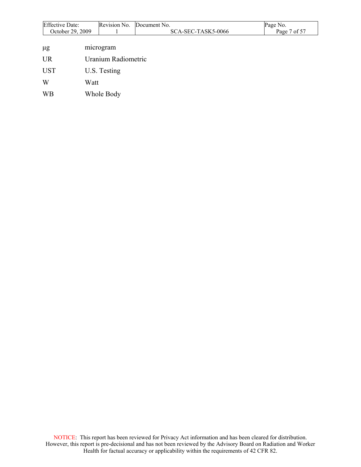| <b>Effective Date:</b> | Revision No.        | Document No.       | Page No.     |
|------------------------|---------------------|--------------------|--------------|
| October 29, 2009       |                     | SCA-SEC-TASK5-0066 | Page 7 of 57 |
|                        |                     |                    |              |
| $\mu$ g                | microgram           |                    |              |
| <b>UR</b>              | Uranium Radiometric |                    |              |
| <b>UST</b>             | U.S. Testing        |                    |              |
| W                      | Watt                |                    |              |
| <b>WB</b>              | Whole Body          |                    |              |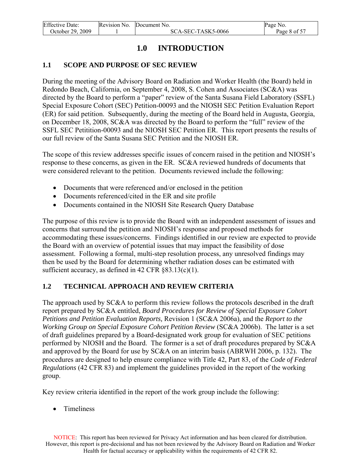<span id="page-7-0"></span>

| <b>Effective Date:</b> | Revision No. | Document No.       | Page No.     |
|------------------------|--------------|--------------------|--------------|
| October 29, 2009       |              | SCA-SEC-TASK5-0066 | Page 8 of 57 |

# **1.0 INTRODUCTION**

#### **1.1 SCOPE AND PURPOSE OF SEC REVIEW**

During the meeting of the Advisory Board on Radiation and Worker Health (the Board) held in Redondo Beach, California, on September 4, 2008, S. Cohen and Associates (SC&A) was directed by the Board to perform a "paper" review of the Santa Susana Field Laboratory (SSFL) Special Exposure Cohort (SEC) Petition-00093 and the NIOSH SEC Petition Evaluation Report (ER) for said petition. Subsequently, during the meeting of the Board held in Augusta, Georgia, on December 18, 2008, SC&A was directed by the Board to perform the "full" review of the SSFL SEC Petitition-00093 and the NIOSH SEC Petition ER. This report presents the results of our full review of the Santa Susana SEC Petition and the NIOSH ER.

The scope of this review addresses specific issues of concern raised in the petition and NIOSH's response to these concerns, as given in the ER. SC&A reviewed hundreds of documents that were considered relevant to the petition. Documents reviewed include the following:

- Documents that were referenced and/or enclosed in the petition
- Documents referenced/cited in the ER and site profile
- Documents contained in the NIOSH Site Research Query Database

The purpose of this review is to provide the Board with an independent assessment of issues and concerns that surround the petition and NIOSH's response and proposed methods for accommodating these issues/concerns. Findings identified in our review are expected to provide the Board with an overview of potential issues that may impact the feasibility of dose assessment. Following a formal, multi-step resolution process, any unresolved findings may then be used by the Board for determining whether radiation doses can be estimated with sufficient accuracy, as defined in 42 CFR  $§83.13(c)(1)$ .

#### **1.2 TECHNICAL APPROACH AND REVIEW CRITERIA**

The approach used by SC&A to perform this review follows the protocols described in the draft report prepared by SC&A entitled, *Board Procedures for Review of Special Exposure Cohort Petitions and Petition Evaluation Reports,* Revision 1 (SC&A 2006a), and the *Report to the Working Group on Special Exposure Cohort Petition Review* (SC&A 2006b). The latter is a set of draft guidelines prepared by a Board-designated work group for evaluation of SEC petitions performed by NIOSH and the Board. The former is a set of draft procedures prepared by SC&A and approved by the Board for use by SC&A on an interim basis (ABRWH 2006, p. 132). The procedures are designed to help ensure compliance with Title 42, Part 83, of the *Code of Federal Regulations* (42 CFR 83) and implement the guidelines provided in the report of the working group.

Key review criteria identified in the report of the work group include the following:

• Timeliness

NOTICE: This report has been reviewed for Privacy Act information and has been cleared for distribution. However, this report is pre-decisional and has not been reviewed by the Advisory Board on Radiation and Worker Health for factual accuracy or applicability within the requirements of 42 CFR 82.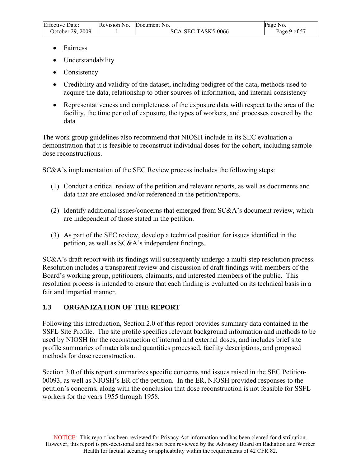<span id="page-8-0"></span>

| <b>Effective Date:</b> | Revision No. | Document No.       | Page No.     |
|------------------------|--------------|--------------------|--------------|
| October 29, 2009       |              | SCA-SEC-TASK5-0066 | Page 9 of 57 |

- Fairness
- Understandability
- Consistency
- Credibility and validity of the dataset, including pedigree of the data, methods used to acquire the data, relationship to other sources of information, and internal consistency
- Representativeness and completeness of the exposure data with respect to the area of the facility, the time period of exposure, the types of workers, and processes covered by the data

The work group guidelines also recommend that NIOSH include in its SEC evaluation a demonstration that it is feasible to reconstruct individual doses for the cohort, including sample dose reconstructions.

SC&A's implementation of the SEC Review process includes the following steps:

- (1) Conduct a critical review of the petition and relevant reports, as well as documents and data that are enclosed and/or referenced in the petition/reports.
- (2) Identify additional issues/concerns that emerged from SC&A's document review, which are independent of those stated in the petition.
- (3) As part of the SEC review, develop a technical position for issues identified in the petition, as well as SC&A's independent findings.

SC&A's draft report with its findings will subsequently undergo a multi-step resolution process. Resolution includes a transparent review and discussion of draft findings with members of the Board's working group, petitioners, claimants, and interested members of the public. This resolution process is intended to ensure that each finding is evaluated on its technical basis in a fair and impartial manner.

## **1.3 ORGANIZATION OF THE REPORT**

Following this introduction, Section 2.0 of this report provides summary data contained in the SSFL Site Profile. The site profile specifies relevant background information and methods to be used by NIOSH for the reconstruction of internal and external doses, and includes brief site profile summaries of materials and quantities processed, facility descriptions, and proposed methods for dose reconstruction.

Section 3.0 of this report summarizes specific concerns and issues raised in the SEC Petition-00093, as well as NIOSH's ER of the petition. In the ER, NIOSH provided responses to the petition's concerns, along with the conclusion that dose reconstruction is not feasible for SSFL workers for the years 1955 through 1958.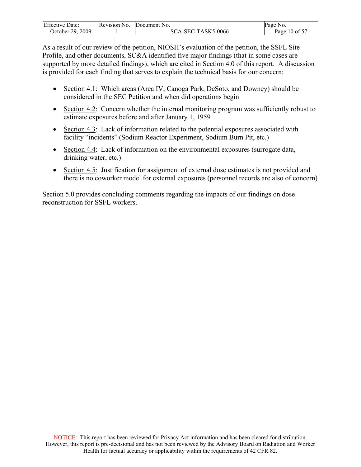| <b>Effective Date:</b> | Revision No. | Document No.       | Page<br>NO.   |
|------------------------|--------------|--------------------|---------------|
| October 29, 2009       |              | SCA-SEC-TASK5-0066 | Page 10 of 57 |

As a result of our review of the petition, NIOSH's evaluation of the petition, the SSFL Site Profile, and other documents, SC&A identified five major findings (that in some cases are supported by more detailed findings), which are cited in Section 4.0 of this report. A discussion is provided for each finding that serves to explain the technical basis for our concern:

- Section 4.1: Which areas (Area IV, Canoga Park, DeSoto, and Downey) should be considered in the SEC Petition and when did operations begin
- Section 4.2: Concern whether the internal monitoring program was sufficiently robust to estimate exposures before and after January 1, 1959
- Section 4.3: Lack of information related to the potential exposures associated with facility "incidents" (Sodium Reactor Experiment, Sodium Burn Pit, etc.)
- Section 4.4: Lack of information on the environmental exposures (surrogate data, drinking water, etc.)
- Section 4.5: Justification for assignment of external dose estimates is not provided and there is no coworker model for external exposures (personnel records are also of concern)

Section 5.0 provides concluding comments regarding the impacts of our findings on dose reconstruction for SSFL workers.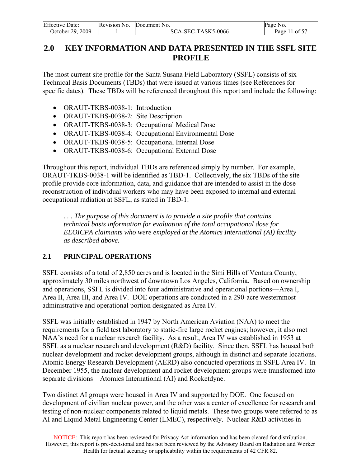<span id="page-10-0"></span>

| <b>Effective Date:</b> | Revision No. | Document No.       | Page No.      |
|------------------------|--------------|--------------------|---------------|
| October 29, 2009       |              | SCA-SEC-TASK5-0066 | Page 11 of 57 |

# **2.0 KEY INFORMATION AND DATA PRESENTED IN THE SSFL SITE PROFILE**

The most current site profile for the Santa Susana Field Laboratory (SSFL) consists of six Technical Basis Documents (TBDs) that were issued at various times (see References for specific dates). These TBDs will be referenced throughout this report and include the following:

- ORAUT-TKBS-0038-1: Introduction
- ORAUT-TKBS-0038-2: Site Description
- ORAUT-TKBS-0038-3: Occupational Medical Dose
- ORAUT-TKBS-0038-4: Occupational Environmental Dose
- ORAUT-TKBS-0038-5: Occupational Internal Dose
- ORAUT-TKBS-0038-6: Occupational External Dose

Throughout this report, individual TBDs are referenced simply by number. For example, ORAUT-TKBS-0038-1 will be identified as TBD-1. Collectively, the six TBDs of the site profile provide core information, data, and guidance that are intended to assist in the dose reconstruction of individual workers who may have been exposed to internal and external occupational radiation at SSFL, as stated in TBD-1:

*. . . The purpose of this document is to provide a site profile that contains technical basis information for evaluation of the total occupational dose for EEOICPA claimants who were employed at the Atomics International (AI) facility as described above.*

## **2.1 PRINCIPAL OPERATIONS**

SSFL consists of a total of 2,850 acres and is located in the Simi Hills of Ventura County, approximately 30 miles northwest of downtown Los Angeles, California. Based on ownership and operations, SSFL is divided into four administrative and operational portions—Area I, Area II, Area III, and Area IV. DOE operations are conducted in a 290-acre westernmost administrative and operational portion designated as Area IV.

SSFL was initially established in 1947 by North American Aviation (NAA) to meet the requirements for a field test laboratory to static-fire large rocket engines; however, it also met NAA's need for a nuclear research facility. As a result, Area IV was established in 1953 at SSFL as a nuclear research and development (R&D) facility. Since then, SSFL has housed both nuclear development and rocket development groups, although in distinct and separate locations. Atomic Energy Research Development (AERD) also conducted operations in SSFL Area IV. In December 1955, the nuclear development and rocket development groups were transformed into separate divisions—Atomics International (AI) and Rocketdyne.

Two distinct AI groups were housed in Area IV and supported by DOE. One focused on development of civilian nuclear power, and the other was a center of excellence for research and testing of non-nuclear components related to liquid metals. These two groups were referred to as AI and Liquid Metal Engineering Center (LMEC), respectively. Nuclear R&D activities in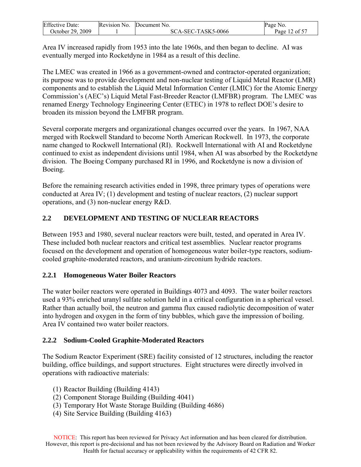<span id="page-11-0"></span>

| <b>Effective Date:</b> | Revision No. | Document No.       | Page No.      |
|------------------------|--------------|--------------------|---------------|
| October 29, 2009       |              | SCA-SEC-TASK5-0066 | Page 12 of 57 |

Area IV increased rapidly from 1953 into the late 1960s, and then began to decline. AI was eventually merged into Rocketdyne in 1984 as a result of this decline.

The LMEC was created in 1966 as a government-owned and contractor-operated organization; its purpose was to provide development and non-nuclear testing of Liquid Metal Reactor (LMR) components and to establish the Liquid Metal Information Center (LMIC) for the Atomic Energy Commission's (AEC's) Liquid Metal Fast-Breeder Reactor (LMFBR) program. The LMEC was renamed Energy Technology Engineering Center (ETEC) in 1978 to reflect DOE's desire to broaden its mission beyond the LMFBR program.

Several corporate mergers and organizational changes occurred over the years. In 1967, NAA merged with Rockwell Standard to become North American Rockwell. In 1973, the corporate name changed to Rockwell International (RI). Rockwell International with AI and Rocketdyne continued to exist as independent divisions until 1984, when AI was absorbed by the Rocketdyne division. The Boeing Company purchased RI in 1996, and Rocketdyne is now a division of Boeing.

Before the remaining research activities ended in 1998, three primary types of operations were conducted at Area IV; (1) development and testing of nuclear reactors, (2) nuclear support operations, and (3) non-nuclear energy R&D.

## **2.2 DEVELOPMENT AND TESTING OF NUCLEAR REACTORS**

Between 1953 and 1980, several nuclear reactors were built, tested, and operated in Area IV. These included both nuclear reactors and critical test assemblies. Nuclear reactor programs focused on the development and operation of homogeneous water boiler-type reactors, sodiumcooled graphite-moderated reactors, and uranium-zirconium hydride reactors.

## **2.2.1 Homogeneous Water Boiler Reactors**

The water boiler reactors were operated in Buildings 4073 and 4093. The water boiler reactors used a 93% enriched uranyl sulfate solution held in a critical configuration in a spherical vessel. Rather than actually boil, the neutron and gamma flux caused radiolytic decomposition of water into hydrogen and oxygen in the form of tiny bubbles, which gave the impression of boiling. Area IV contained two water boiler reactors.

## **2.2.2 Sodium-Cooled Graphite-Moderated Reactors**

The Sodium Reactor Experiment (SRE) facility consisted of 12 structures, including the reactor building, office buildings, and support structures. Eight structures were directly involved in operations with radioactive materials:

- (1) Reactor Building (Building 4143)
- (2) Component Storage Building (Building 4041)
- (3) Temporary Hot Waste Storage Building (Building 4686)
- (4) Site Service Building (Building 4163)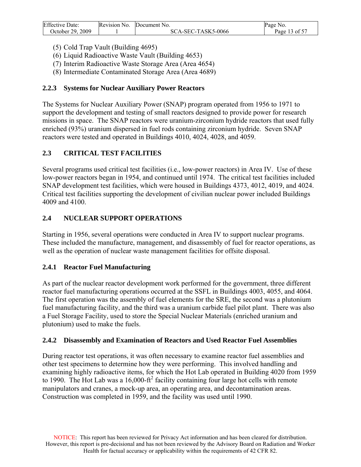<span id="page-12-0"></span>

| <b>Effective Date:</b> | Revision No. | Document No.       | Page No.      |
|------------------------|--------------|--------------------|---------------|
| October 29, 2009       |              | SCA-SEC-TASK5-0066 | Page 13 of 57 |

- (5) Cold Trap Vault (Building 4695)
- (6) Liquid Radioactive Waste Vault (Building 4653)
- (7) Interim Radioactive Waste Storage Area (Area 4654)
- (8) Intermediate Contaminated Storage Area (Area 4689)

## **2.2.3 Systems for Nuclear Auxiliary Power Reactors**

The Systems for Nuclear Auxiliary Power (SNAP) program operated from 1956 to 1971 to support the development and testing of small reactors designed to provide power for research missions in space. The SNAP reactors were uranium-zirconium hydride reactors that used fully enriched (93%) uranium dispersed in fuel rods containing zirconium hydride. Seven SNAP reactors were tested and operated in Buildings 4010, 4024, 4028, and 4059.

## **2.3 CRITICAL TEST FACILITIES**

Several programs used critical test facilities (i.e., low-power reactors) in Area IV. Use of these low-power reactors began in 1954, and continued until 1974. The critical test facilities included SNAP development test facilities, which were housed in Buildings 4373, 4012, 4019, and 4024. Critical test facilities supporting the development of civilian nuclear power included Buildings 4009 and 4100.

## **2.4 NUCLEAR SUPPORT OPERATIONS**

Starting in 1956, several operations were conducted in Area IV to support nuclear programs. These included the manufacture, management, and disassembly of fuel for reactor operations, as well as the operation of nuclear waste management facilities for offsite disposal.

## **2.4.1 Reactor Fuel Manufacturing**

As part of the nuclear reactor development work performed for the government, three different reactor fuel manufacturing operations occurred at the SSFL in Buildings 4003, 4055, and 4064. The first operation was the assembly of fuel elements for the SRE, the second was a plutonium fuel manufacturing facility, and the third was a uranium carbide fuel pilot plant. There was also a Fuel Storage Facility, used to store the Special Nuclear Materials (enriched uranium and plutonium) used to make the fuels.

## **2.4.2 Disassembly and Examination of Reactors and Used Reactor Fuel Assemblies**

During reactor test operations, it was often necessary to examine reactor fuel assemblies and other test specimens to determine how they were performing. This involved handling and examining highly radioactive items, for which the Hot Lab operated in Building 4020 from 1959 to 1990. The Hot Lab was a  $16,000$ -ft<sup>2</sup> facility containing four large hot cells with remote manipulators and cranes, a mock-up area, an operating area, and decontamination areas. Construction was completed in 1959, and the facility was used until 1990.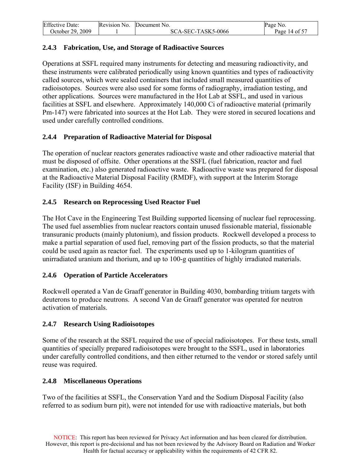<span id="page-13-0"></span>

| <b>Effective Date:</b> | Revision No. | Document No.       | Page No.      |
|------------------------|--------------|--------------------|---------------|
| October 29, 2009       |              | SCA-SEC-TASK5-0066 | Page 14 of 57 |

## **2.4.3 Fabrication, Use, and Storage of Radioactive Sources**

Operations at SSFL required many instruments for detecting and measuring radioactivity, and these instruments were calibrated periodically using known quantities and types of radioactivity called sources, which were sealed containers that included small measured quantities of radioisotopes. Sources were also used for some forms of radiography, irradiation testing, and other applications. Sources were manufactured in the Hot Lab at SSFL, and used in various facilities at SSFL and elsewhere. Approximately 140,000 Ci of radioactive material (primarily Pm-147) were fabricated into sources at the Hot Lab. They were stored in secured locations and used under carefully controlled conditions.

## **2.4.4 Preparation of Radioactive Material for Disposal**

The operation of nuclear reactors generates radioactive waste and other radioactive material that must be disposed of offsite. Other operations at the SSFL (fuel fabrication, reactor and fuel examination, etc.) also generated radioactive waste. Radioactive waste was prepared for disposal at the Radioactive Material Disposal Facility (RMDF), with support at the Interim Storage Facility (ISF) in Building 4654.

## **2.4.5 Research on Reprocessing Used Reactor Fuel**

The Hot Cave in the Engineering Test Building supported licensing of nuclear fuel reprocessing. The used fuel assemblies from nuclear reactors contain unused fissionable material, fissionable transuranic products (mainly plutonium), and fission products. Rockwell developed a process to make a partial separation of used fuel, removing part of the fission products, so that the material could be used again as reactor fuel. The experiments used up to 1-kilogram quantities of unirradiated uranium and thorium, and up to 100-g quantities of highly irradiated materials.

## **2.4.6 Operation of Particle Accelerators**

Rockwell operated a Van de Graaff generator in Building 4030, bombarding tritium targets with deuterons to produce neutrons. A second Van de Graaff generator was operated for neutron activation of materials.

## **2.4.7 Research Using Radioisotopes**

Some of the research at the SSFL required the use of special radioisotopes. For these tests, small quantities of specially prepared radioisotopes were brought to the SSFL, used in laboratories under carefully controlled conditions, and then either returned to the vendor or stored safely until reuse was required.

## **2.4.8 Miscellaneous Operations**

Two of the facilities at SSFL, the Conservation Yard and the Sodium Disposal Facility (also referred to as sodium burn pit), were not intended for use with radioactive materials, but both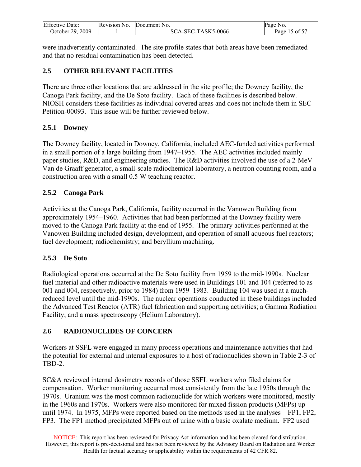<span id="page-14-0"></span>

| <b>Effective Date:</b> | Revision No. | Document No.       | Page<br>N <sub>0</sub> |
|------------------------|--------------|--------------------|------------------------|
| October 29, 2009       |              | SCA-SEC-TASK5-0066 | 15 of 57<br>Page       |

were inadvertently contaminated. The site profile states that both areas have been remediated and that no residual contamination has been detected.

## **2.5 OTHER RELEVANT FACILITIES**

There are three other locations that are addressed in the site profile; the Downey facility, the Canoga Park facility, and the De Soto facility. Each of these facilities is described below. NIOSH considers these facilities as individual covered areas and does not include them in SEC Petition-00093. This issue will be further reviewed below.

## **2.5.1 Downey**

The Downey facility, located in Downey, California, included AEC-funded activities performed in a small portion of a large building from 1947–1955. The AEC activities included mainly paper studies, R&D, and engineering studies. The R&D activities involved the use of a 2-MeV Van de Graaff generator, a small-scale radiochemical laboratory, a neutron counting room, and a construction area with a small 0.5 W teaching reactor.

## **2.5.2 Canoga Park**

Activities at the Canoga Park, California, facility occurred in the Vanowen Building from approximately 1954–1960. Activities that had been performed at the Downey facility were moved to the Canoga Park facility at the end of 1955. The primary activities performed at the Vanowen Building included design, development, and operation of small aqueous fuel reactors; fuel development; radiochemistry; and beryllium machining.

## **2.5.3 De Soto**

Radiological operations occurred at the De Soto facility from 1959 to the mid-1990s. Nuclear fuel material and other radioactive materials were used in Buildings 101 and 104 (referred to as 001 and 004, respectively, prior to 1984) from 1959–1983. Building 104 was used at a muchreduced level until the mid-1990s. The nuclear operations conducted in these buildings included the Advanced Test Reactor (ATR) fuel fabrication and supporting activities; a Gamma Radiation Facility; and a mass spectroscopy (Helium Laboratory).

## **2.6 RADIONUCLIDES OF CONCERN**

Workers at SSFL were engaged in many process operations and maintenance activities that had the potential for external and internal exposures to a host of radionuclides shown in Table 2-3 of TBD-2.

SC&A reviewed internal dosimetry records of those SSFL workers who filed claims for compensation. Worker monitoring occurred most consistently from the late 1950s through the 1970s. Uranium was the most common radionuclide for which workers were monitored, mostly in the 1960s and 1970s. Workers were also monitored for mixed fission products (MFPs) up until 1974. In 1975, MFPs were reported based on the methods used in the analyses—FP1, FP2, FP3. The FP1 method precipitated MFPs out of urine with a basic oxalate medium. FP2 used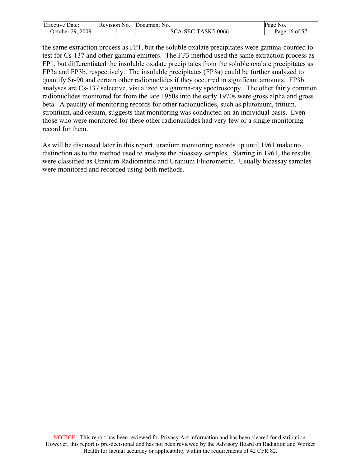| <b>Effective Date:</b> | Revision No. | Document No.       | Page No.      |
|------------------------|--------------|--------------------|---------------|
| October 29, 2009       |              | SCA-SEC-TASK5-0066 | Page 16 of 57 |

the same extraction process as FP1, but the soluble oxalate precipitates were gamma-counted to test for Cs-137 and other gamma emitters. The FP3 method used the same extraction process as FP1, but differentiated the insoluble oxalate precipitates from the soluble oxalate precipitates as FP3a and FP3b, respectively. The insoluble precipitates (FP3a) could be further analyzed to quantify Sr-90 and certain other radionuclides if they occurred in significant amounts. FP3b analyses are Cs-137 selective, visualized via gamma-ray spectroscopy. The other fairly common radionuclides monitored for from the late 1950s into the early 1970s were gross alpha and gross beta. A paucity of monitoring records for other radionuclides, such as plutonium, tritium, strontium, and cesium, suggests that monitoring was conducted on an individual basis. Even those who were monitored for these other radionuclides had very few or a single monitoring record for them.

As will be discussed later in this report, uranium monitoring records up until 1961 make no distinction as to the method used to analyze the bioassay samples. Starting in 1961, the results were classified as Uranium Radiometric and Uranium Fluorometric. Usually bioassay samples were monitored and recorded using both methods.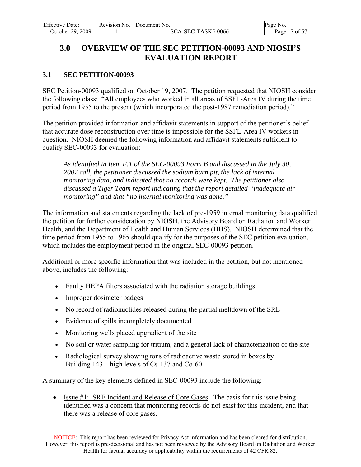<span id="page-16-0"></span>

| <b>Effective Date:</b> | Revision No. | Document No.       | Page No.      |
|------------------------|--------------|--------------------|---------------|
| October 29, 2009       |              | SCA-SEC-TASK5-0066 | Page 17 of 57 |

# **3.0 OVERVIEW OF THE SEC PETITION-00093 AND NIOSH'S EVALUATION REPORT**

## **3.1 SEC PETITION-00093**

SEC Petition-00093 qualified on October 19, 2007. The petition requested that NIOSH consider the following class: "All employees who worked in all areas of SSFL-Area IV during the time period from 1955 to the present (which incorporated the post-1987 remediation period)."

The petition provided information and affidavit statements in support of the petitioner's belief that accurate dose reconstruction over time is impossible for the SSFL-Area IV workers in question. NIOSH deemed the following information and affidavit statements sufficient to qualify SEC-00093 for evaluation:

*As identified in Item F.1 of the SEC-00093 Form B and discussed in the July 30, 2007 call, the petitioner discussed the sodium burn pit, the lack of internal monitoring data, and indicated that no records were kept. The petitioner also discussed a Tiger Team report indicating that the report detailed "inadequate air monitoring" and that "no internal monitoring was done."* 

The information and statements regarding the lack of pre-1959 internal monitoring data qualified the petition for further consideration by NIOSH, the Advisory Board on Radiation and Worker Health, and the Department of Health and Human Services (HHS). NIOSH determined that the time period from 1955 to 1965 should qualify for the purposes of the SEC petition evaluation, which includes the employment period in the original SEC-00093 petition.

Additional or more specific information that was included in the petition, but not mentioned above, includes the following:

- Faulty HEPA filters associated with the radiation storage buildings
- Improper dosimeter badges
- No record of radionuclides released during the partial meltdown of the SRE
- Evidence of spills incompletely documented
- Monitoring wells placed upgradient of the site
- No soil or water sampling for tritium, and a general lack of characterization of the site
- Radiological survey showing tons of radioactive waste stored in boxes by Building 143—high levels of Cs-137 and Co-60

A summary of the key elements defined in SEC-00093 include the following:

• Issue #1: SRE Incident and Release of Core Gases. The basis for this issue being identified was a concern that monitoring records do not exist for this incident, and that there was a release of core gases.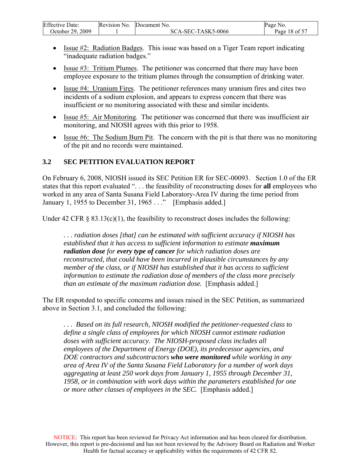<span id="page-17-0"></span>

| <b>Effective Date:</b> | Revision No. | Document No.       | Page No.      |
|------------------------|--------------|--------------------|---------------|
| October 29, 2009       |              | SCA-SEC-TASK5-0066 | Page 18 of 57 |

- Issue #2: Radiation Badges. This issue was based on a Tiger Team report indicating "inadequate radiation badges."
- Issue #3: Tritium Plumes. The petitioner was concerned that there may have been employee exposure to the tritium plumes through the consumption of drinking water.
- Issue #4: Uranium Fires. The petitioner references many uranium fires and cites two incidents of a sodium explosion, and appears to express concern that there was insufficient or no monitoring associated with these and similar incidents.
- Issue #5: Air Monitoring. The petitioner was concerned that there was insufficient air monitoring, and NIOSH agrees with this prior to 1958.
- Issue  $#6$ : The Sodium Burn Pit. The concern with the pit is that there was no monitoring of the pit and no records were maintained.

## **3.2 SEC PETITION EVALUATION REPORT**

On February 6, 2008, NIOSH issued its SEC Petition ER for SEC-00093. Section 1.0 of the ER states that this report evaluated ". . . the feasibility of reconstructing doses for **all** employees who worked in any area of Santa Susana Field Laboratory-Area IV during the time period from January 1, 1955 to December 31, 1965 . . ." [Emphasis added.]

Under 42 CFR  $\S$  83.13(c)(1), the feasibility to reconstruct doses includes the following:

*. . . radiation doses [that] can be estimated with sufficient accuracy if NIOSH has established that it has access to sufficient information to estimate maximum radiation dose for every type of cancer for which radiation doses are reconstructed, that could have been incurred in plausible circumstances by any member of the class, or if NIOSH has established that it has access to sufficient information to estimate the radiation dose of members of the class more precisely than an estimate of the maximum radiation dose.* [Emphasis added.]

The ER responded to specific concerns and issues raised in the SEC Petition, as summarized above in Section 3.1, and concluded the following:

*. . . Based on its full research, NIOSH modified the petitioner-requested class to define a single class of employees for which NIOSH cannot estimate radiation doses with sufficient accuracy. The NIOSH-proposed class includes all employees of the Department of Energy (DOE), its predecessor agencies, and DOE contractors and subcontractors who were monitored while working in any area of Area IV of the Santa Susana Field Laboratory for a number of work days aggregating at least 250 work days from January 1, 1955 through December 31, 1958, or in combination with work days within the parameters established for one or more other classes of employees in the SEC.* [Emphasis added.]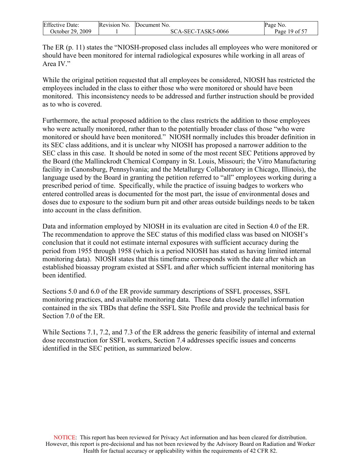| <b>Effective Date:</b> | Revision No. | Document No.       | Page No.      |
|------------------------|--------------|--------------------|---------------|
| October 29, 2009       |              | SCA-SEC-TASK5-0066 | Page 19 of 57 |

The ER (p. 11) states the "NIOSH-proposed class includes all employees who were monitored or should have been monitored for internal radiological exposures while working in all areas of Area IV"

While the original petition requested that all employees be considered, NIOSH has restricted the employees included in the class to either those who were monitored or should have been monitored. This inconsistency needs to be addressed and further instruction should be provided as to who is covered.

Furthermore, the actual proposed addition to the class restricts the addition to those employees who were actually monitored, rather than to the potentially broader class of those "who were monitored or should have been monitored." NIOSH normally includes this broader definition in its SEC class additions, and it is unclear why NIOSH has proposed a narrower addition to the SEC class in this case. It should be noted in some of the most recent SEC Petitions approved by the Board (the Mallinckrodt Chemical Company in St. Louis, Missouri; the Vitro Manufacturing facility in Canonsburg, Pennsylvania; and the Metallurgy Collaboratory in Chicago, Illinois), the language used by the Board in granting the petition referred to "all" employees working during a prescribed period of time. Specifically, while the practice of issuing badges to workers who entered controlled areas is documented for the most part, the issue of environmental doses and doses due to exposure to the sodium burn pit and other areas outside buildings needs to be taken into account in the class definition.

Data and information employed by NIOSH in its evaluation are cited in Section 4.0 of the ER. The recommendation to approve the SEC status of this modified class was based on NIOSH's conclusion that it could not estimate internal exposures with sufficient accuracy during the period from 1955 through 1958 (which is a period NIOSH has stated as having limited internal monitoring data). NIOSH states that this timeframe corresponds with the date after which an established bioassay program existed at SSFL and after which sufficient internal monitoring has been identified.

Sections 5.0 and 6.0 of the ER provide summary descriptions of SSFL processes, SSFL monitoring practices, and available monitoring data. These data closely parallel information contained in the six TBDs that define the SSFL Site Profile and provide the technical basis for Section 7.0 of the ER.

While Sections 7.1, 7.2, and 7.3 of the ER address the generic feasibility of internal and external dose reconstruction for SSFL workers, Section 7.4 addresses specific issues and concerns identified in the SEC petition, as summarized below.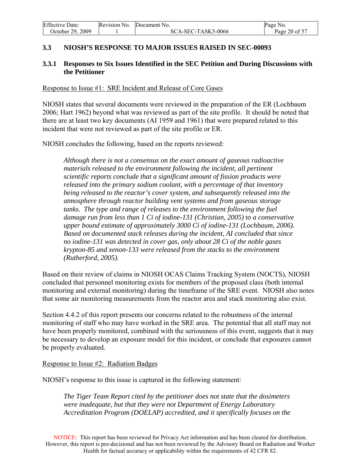<span id="page-19-0"></span>

| <b>Effective Date:</b> | Revision No. | Document No.       | Page No.      |
|------------------------|--------------|--------------------|---------------|
| October 29, 2009       |              | SCA-SEC-TASK5-0066 | Page 20 of 57 |

## **3.3 NIOSH'S RESPONSE TO MAJOR ISSUES RAISED IN SEC-00093**

## **3.3.1 Responses to Six Issues Identified in the SEC Petition and During Discussions with the Petitioner**

#### Response to Issue #1: SRE Incident and Release of Core Gases

NIOSH states that several documents were reviewed in the preparation of the ER (Lochbaum 2006; Hart 1962) beyond what was reviewed as part of the site profile. It should be noted that there are at least two key documents (AI 1959 and 1961) that were prepared related to this incident that were not reviewed as part of the site profile or ER.

NIOSH concludes the following, based on the reports reviewed:

*Although there is not a consensus on the exact amount of gaseous radioactive materials released to the environment following the incident, all pertinent scientific reports conclude that a significant amount of fission products were released into the primary sodium coolant, with a percentage of that inventory being released to the reactor's cover system, and subsequently released into the atmosphere through reactor building vent systems and from gaseous storage tanks. The type and range of releases to the environment following the fuel damage run from less than 1 Ci of iodine-131 (Christian, 2005) to a conservative upper bound estimate of approximately 3000 Ci of iodine-131 (Lochbaum, 2006). Based on documented stack releases during the incident, AI concluded that since no iodine-131 was detected in cover gas, only about 28 Ci of the noble gases krypton-85 and xenon-133 were released from the stacks to the environment (Rutherford, 2005).* 

Based on their review of claims in NIOSH OCAS Claims Tracking System (NOCTS), NIOSH concluded that personnel monitoring exists for members of the proposed class (both internal monitoring and external monitoring) during the timeframe of the SRE event. NIOSH also notes that some air monitoring measurements from the reactor area and stack monitoring also exist.

Section 4.4.2 of this report presents our concerns related to the robustness of the internal monitoring of staff who may have worked in the SRE area. The potential that all staff may not have been properly monitored, combined with the seriousness of this event, suggests that it may be necessary to develop an exposure model for this incident, or conclude that exposures cannot be properly evaluated.

#### Response to Issue #2: Radiation Badges

NIOSH's response to this issue is captured in the following statement:

*The Tiger Team Report cited by the petitioner does not state that the dosimeters were inadequate, but that they were not Department of Energy Laboratory Accreditation Program (DOELAP) accredited, and it specifically focuses on the*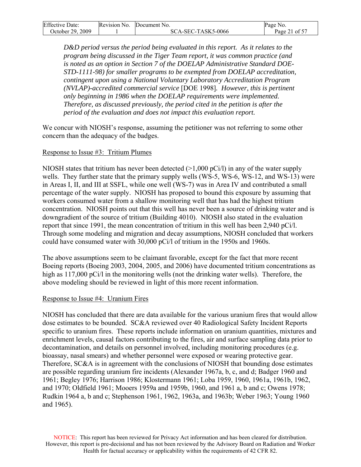| <b>Effective Date:</b> | Revision No. Document No. | Page No.      |
|------------------------|---------------------------|---------------|
| October 29, 2009       | SCA-SEC-TASK5-0066        | Page 21 of 57 |

*D&D period versus the period being evaluated in this report. As it relates to the program being discussed in the Tiger Team report, it was common practice (and is noted as an option in Section 7 of the DOELAP Administrative Standard DOE-STD-1111-98) for smaller programs to be exempted from DOELAP accreditation, contingent upon using a National Voluntary Laboratory Accreditation Program (NVLAP)-accredited commercial service* [DOE 1998]*. However, this is pertinent only beginning in 1986 when the DOELAP requirements were implemented. Therefore, as discussed previously, the period cited in the petition is after the period of the evaluation and does not impact this evaluation report.* 

We concur with NIOSH's response, assuming the petitioner was not referring to some other concern than the adequacy of the badges.

#### Response to Issue #3: Tritium Plumes

NIOSH states that tritium has never been detected  $(>1,000 \text{ pCi/l})$  in any of the water supply wells. They further state that the primary supply wells (WS-5, WS-6, WS-12, and WS-13) were in Areas I, II, and III at SSFL, while one well (WS-7) was in Area IV and contributed a small percentage of the water supply. NIOSH has proposed to bound this exposure by assuming that workers consumed water from a shallow monitoring well that has had the highest tritium concentration. NIOSH points out that this well has never been a source of drinking water and is downgradient of the source of tritium (Building 4010). NIOSH also stated in the evaluation report that since 1991, the mean concentration of tritium in this well has been 2,940 pCi/l. Through some modeling and migration and decay assumptions, NIOSH concluded that workers could have consumed water with 30,000 pCi/l of tritium in the 1950s and 1960s.

The above assumptions seem to be claimant favorable, except for the fact that more recent Boeing reports (Boeing 2003, 2004, 2005, and 2006) have documented tritium concentrations as high as 117,000 pCi/l in the monitoring wells (not the drinking water wells). Therefore, the above modeling should be reviewed in light of this more recent information.

#### Response to Issue #4: Uranium Fires

NIOSH has concluded that there are data available for the various uranium fires that would allow dose estimates to be bounded. SC&A reviewed over 40 Radiological Safety Incident Reports specific to uranium fires. These reports include information on uranium quantities, mixtures and enrichment levels, causal factors contributing to the fires, air and surface sampling data prior to decontamination, and details on personnel involved, including monitoring procedures (e.g. bioassay, nasal smears) and whether personnel were exposed or wearing protective gear. Therefore, SC&A is in agreement with the conclusions of NIOSH that bounding dose estimates are possible regarding uranium fire incidents (Alexander 1967a, b, c, and d; Badger 1960 and 1961; Begley 1976; Harrison 1986; Klostermann 1961; Loba 1959, 1960, 1961a, 1961b, 1962, and 1970; Oldfield 1961; Mooers 1959a and 1959b, 1960, and 1961 a, b and c; Owens 1978; Rudkin 1964 a, b and c; Stephenson 1961, 1962, 1963a, and 1963b; Weber 1963; Young 1960 and 1965).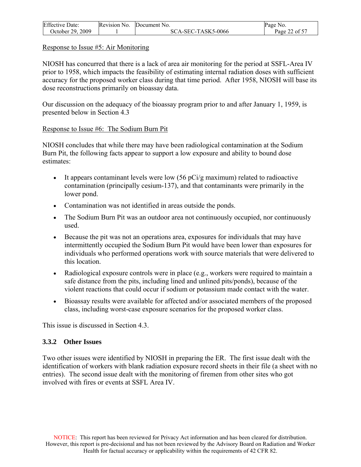<span id="page-21-0"></span>

| <b>Effective Date:</b> | Revision No. | Document No.       | Page No.      |
|------------------------|--------------|--------------------|---------------|
| October 29, 2009       |              | SCA-SEC-TASK5-0066 | Page 22 of 57 |

#### Response to Issue #5: Air Monitoring

NIOSH has concurred that there is a lack of area air monitoring for the period at SSFL-Area IV prior to 1958, which impacts the feasibility of estimating internal radiation doses with sufficient accuracy for the proposed worker class during that time period. After 1958, NIOSH will base its dose reconstructions primarily on bioassay data.

Our discussion on the adequacy of the bioassay program prior to and after January 1, 1959, is presented below in Section 4.3

#### Response to Issue #6: The Sodium Burn Pit

NIOSH concludes that while there may have been radiological contamination at the Sodium Burn Pit, the following facts appear to support a low exposure and ability to bound dose estimates:

- It appears contaminant levels were low  $(56 \text{ pCi/g maximum})$  related to radioactive contamination (principally cesium-137), and that contaminants were primarily in the lower pond.
- Contamination was not identified in areas outside the ponds.
- The Sodium Burn Pit was an outdoor area not continuously occupied, nor continuously used.
- Because the pit was not an operations area, exposures for individuals that may have intermittently occupied the Sodium Burn Pit would have been lower than exposures for individuals who performed operations work with source materials that were delivered to this location.
- Radiological exposure controls were in place (e.g., workers were required to maintain a safe distance from the pits, including lined and unlined pits/ponds), because of the violent reactions that could occur if sodium or potassium made contact with the water.
- Bioassay results were available for affected and/or associated members of the proposed class, including worst-case exposure scenarios for the proposed worker class.

This issue is discussed in Section 4.3.

## **3.3.2 Other Issues**

Two other issues were identified by NIOSH in preparing the ER. The first issue dealt with the identification of workers with blank radiation exposure record sheets in their file (a sheet with no entries). The second issue dealt with the monitoring of firemen from other sites who got involved with fires or events at SSFL Area IV.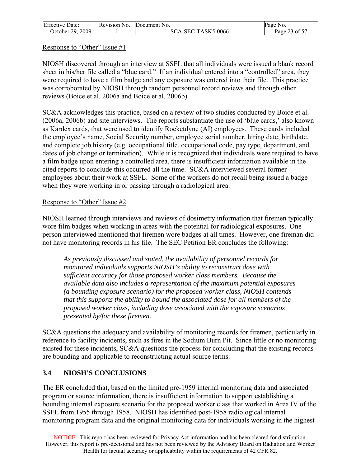<span id="page-22-0"></span>

| <b>Effective Date:</b> | Revision No. | Document No.       | Page No.      |
|------------------------|--------------|--------------------|---------------|
| October 29, 2009       |              | SCA-SEC-TASK5-0066 | Page 23 of 57 |

#### Response to "Other" Issue #1

NIOSH discovered through an interview at SSFL that all individuals were issued a blank record sheet in his/her file called a "blue card." If an individual entered into a "controlled" area, they were required to have a film badge and any exposure was entered into their file. This practice was corroborated by NIOSH through random personnel record reviews and through other reviews (Boice et al. 2006a and Boice et al. 2006b).

SC&A acknowledges this practice, based on a review of two studies conducted by Boice et al. (2006a, 2006b) and site interviews. The reports substantiate the use of 'blue cards,' also known as Kardex cards, that were used to identify Rocketdyne (AI) employees. These cards included the employee's name, Social Security number, employee serial number, hiring date, birthdate, and complete job history (e.g. occupational title, occupational code, pay type, department, and dates of job change or termination). While it is recognized that individuals were required to have a film badge upon entering a controlled area, there is insufficient information available in the cited reports to conclude this occurred all the time. SC&A interviewed several former employees about their work at SSFL. Some of the workers do not recall being issued a badge when they were working in or passing through a radiological area.

#### Response to "Other" Issue #2

NIOSH learned through interviews and reviews of dosimetry information that firemen typically wore film badges when working in areas with the potential for radiological exposures. One person interviewed mentioned that firemen wore badges at all times. However, one fireman did not have monitoring records in his file. The SEC Petition ER concludes the following:

*As previously discussed and stated, the availability of personnel records for monitored individuals supports NIOSH's ability to reconstruct dose with sufficient accuracy for those proposed worker class members. Because the available data also includes a representation of the maximum potential exposures (a bounding exposure scenario) for the proposed worker class, NIOSH contends that this supports the ability to bound the associated dose for all members of the proposed worker class, including dose associated with the exposure scenarios presented by/for these firemen.* 

SC&A questions the adequacy and availability of monitoring records for firemen, particularly in reference to facility incidents, such as fires in the Sodium Burn Pit. Since little or no monitoring existed for these incidents, SC&A questions the process for concluding that the existing records are bounding and applicable to reconstructing actual source terms.

## **3.4 NIOSH'S CONCLUSIONS**

The ER concluded that, based on the limited pre-1959 internal monitoring data and associated program or source information, there is insufficient information to support establishing a bounding internal exposure scenario for the proposed worker class that worked in Area IV of the SSFL from 1955 through 1958. NIOSH has identified post-1958 radiological internal monitoring program data and the original monitoring data for individuals working in the highest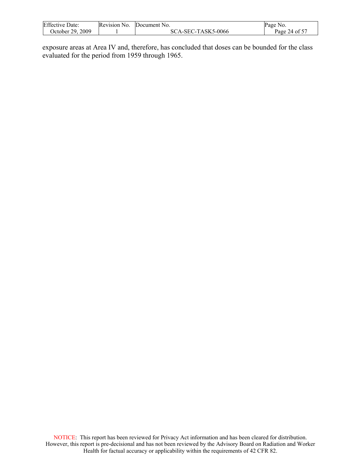| <b>Effective Date:</b> | Revision No. | Document No.       | Page No.      |
|------------------------|--------------|--------------------|---------------|
| October 29, 2009       |              | SCA-SEC-TASK5-0066 | Page 24 of 57 |

exposure areas at Area IV and, therefore, has concluded that doses can be bounded for the class evaluated for the period from 1959 through 1965.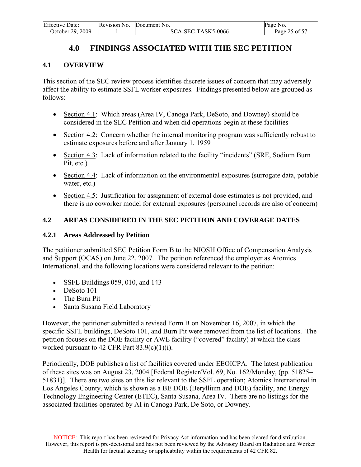<span id="page-24-0"></span>

| <b>Effective Date:</b> | Revision No. | Document No.       | Page No.      |
|------------------------|--------------|--------------------|---------------|
| October 29, 2009       |              | SCA-SEC-TASK5-0066 | Page 25 of 57 |

# **4.0 FINDINGS ASSOCIATED WITH THE SEC PETITION**

#### **4.1 OVERVIEW**

This section of the SEC review process identifies discrete issues of concern that may adversely affect the ability to estimate SSFL worker exposures. Findings presented below are grouped as follows:

- Section 4.1: Which areas (Area IV, Canoga Park, DeSoto, and Downey) should be considered in the SEC Petition and when did operations begin at these facilities
- Section 4.2: Concern whether the internal monitoring program was sufficiently robust to estimate exposures before and after January 1, 1959
- Section 4.3: Lack of information related to the facility "incidents" (SRE, Sodium Burn Pit, etc.)
- Section 4.4: Lack of information on the environmental exposures (surrogate data, potable water, etc.)
- Section 4.5: Justification for assignment of external dose estimates is not provided, and there is no coworker model for external exposures (personnel records are also of concern)

#### **4.2 AREAS CONSIDERED IN THE SEC PETITION AND COVERAGE DATES**

#### **4.2.1 Areas Addressed by Petition**

The petitioner submitted SEC Petition Form B to the NIOSH Office of Compensation Analysis and Support (OCAS) on June 22, 2007. The petition referenced the employer as Atomics International, and the following locations were considered relevant to the petition:

- SSFL Buildings 059, 010, and 143
- DeSoto 101
- The Burn Pit
- Santa Susana Field Laboratory

However, the petitioner submitted a revised Form B on November 16, 2007, in which the specific SSFL buildings, DeSoto 101, and Burn Pit were removed from the list of locations. The petition focuses on the DOE facility or AWE facility ("covered" facility) at which the class worked pursuant to 42 CFR Part  $83.9(c)(1)(i)$ .

Periodically, DOE publishes a list of facilities covered under EEOICPA. The latest publication of these sites was on August 23, 2004 [Federal Register/Vol. 69, No. 162/Monday, (pp. 51825– 51831)]. There are two sites on this list relevant to the SSFL operation; Atomics International in Los Angeles County, which is shown as a BE DOE (Beryllium and DOE) facility, and Energy Technology Engineering Center (ETEC), Santa Susana, Area IV. There are no listings for the associated facilities operated by AI in Canoga Park, De Soto, or Downey.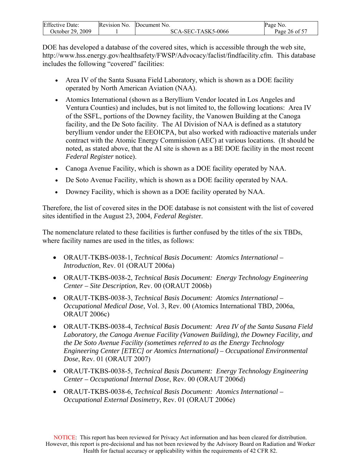| <b>Effective Date:</b> | Revision No. | Document No.       | Page No.      |
|------------------------|--------------|--------------------|---------------|
| October 29, 2009       |              | SCA-SEC-TASK5-0066 | Page 26 of 57 |

DOE has developed a database of the covered sites, which is accessible through the web site, [http://www.hss.energy.gov/healthsafety/FWSP/Advocacy/faclist/findfacility.cfm.](http://www.hss.energy.gov/healthsafety/FWSP/Advocacy/faclist/findfacility.cfm) This database includes the following "covered" facilities:

- Area IV of the Santa Susana Field Laboratory, which is shown as a DOE facility operated by North American Aviation (NAA).
- Atomics International (shown as a Beryllium Vendor located in Los Angeles and Ventura Counties) and includes, but is not limited to, the following locations: Area IV of the SSFL, portions of the Downey facility, the Vanowen Building at the Canoga facility, and the De Soto facility. The AI Division of NAA is defined as a statutory beryllium vendor under the EEOICPA, but also worked with radioactive materials under contract with the Atomic Energy Commission (AEC) at various locations. (It should be noted, as stated above, that the AI site is shown as a BE DOE facility in the most recent *Federal Register* notice).
- Canoga Avenue Facility, which is shown as a DOE facility operated by NAA.
- De Soto Avenue Facility, which is shown as a DOE facility operated by NAA.
- Downey Facility, which is shown as a DOE facility operated by NAA.

Therefore, the list of covered sites in the DOE database is not consistent with the list of covered sites identified in the August 23, 2004, *Federal Registe*r.

The nomenclature related to these facilities is further confused by the titles of the six TBDs, where facility names are used in the titles, as follows:

- ORAUT-TKBS-0038-1, *Technical Basis Document: Atomics International Introduction*, Rev. 01 (ORAUT 2006a)
- ORAUT-TKBS-0038-2, *Technical Basis Document: Energy Technology Engineering Center – Site Description*, Rev. 00 (ORAUT 2006b)
- ORAUT-TKBS-0038-3, *Technical Basis Document: Atomics International Occupational Medical Dose*, Vol. 3, Rev. 00 (Atomics International TBD, 2006a, ORAUT 2006c)
- ORAUT-TKBS-0038-4, *Technical Basis Document: Area IV of the Santa Susana Field Laboratory, the Canoga Avenue Facility (Vanowen Building), the Downey Facility, and the De Soto Avenue Facility (sometimes referred to as the Energy Technology Engineering Center [ETEC] or Atomics International) – Occupational Environmental Dose*, Rev. 01 (ORAUT 2007)
- ORAUT-TKBS-0038-5, *Technical Basis Document: Energy Technology Engineering Center – Occupational Internal Dose*, Rev. 00 (ORAUT 2006d)
- ORAUT-TKBS-0038-6, *Technical Basis Document: Atomics International Occupational External Dosimetry*, Rev. 01 (ORAUT 2006e)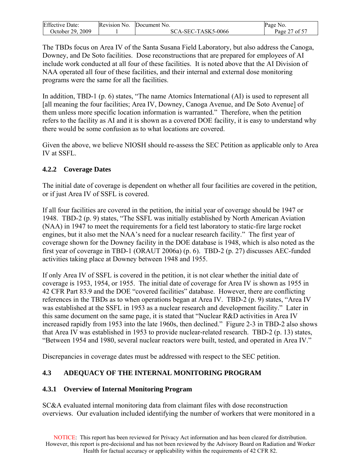<span id="page-26-0"></span>

| <b>Effective Date:</b> | Revision No. | Document No.       | Page No.              |
|------------------------|--------------|--------------------|-----------------------|
| October 29, 2009       |              | SCA-SEC-TASK5-0066 | 27 of 57<br>Page $21$ |

The TBDs focus on Area IV of the Santa Susana Field Laboratory, but also address the Canoga, Downey, and De Soto facilities. Dose reconstructions that are prepared for employees of AI include work conducted at all four of these facilities. It is noted above that the AI Division of NAA operated all four of these facilities, and their internal and external dose monitoring programs were the same for all the facilities.

In addition, TBD-1 (p. 6) states, "The name Atomics International (AI) is used to represent all [all meaning the four facilities; Area IV, Downey, Canoga Avenue, and De Soto Avenue] of them unless more specific location information is warranted." Therefore, when the petition refers to the facility as AI and it is shown as a covered DOE facility, it is easy to understand why there would be some confusion as to what locations are covered.

Given the above, we believe NIOSH should re-assess the SEC Petition as applicable only to Area IV at SSFL.

## **4.2.2 Coverage Dates**

The initial date of coverage is dependent on whether all four facilities are covered in the petition, or if just Area IV of SSFL is covered.

If all four facilities are covered in the petition, the initial year of coverage should be 1947 or 1948. TBD-2 (p. 9) states, "The SSFL was initially established by North American Aviation (NAA) in 1947 to meet the requirements for a field test laboratory to static-fire large rocket engines, but it also met the NAA's need for a nuclear research facility." The first year of coverage shown for the Downey facility in the DOE database is 1948, which is also noted as the first year of coverage in TBD-1 (ORAUT 2006a) (p. 6). TBD-2 (p. 27) discusses AEC-funded activities taking place at Downey between 1948 and 1955.

If only Area IV of SSFL is covered in the petition, it is not clear whether the initial date of coverage is 1953, 1954, or 1955. The initial date of coverage for Area IV is shown as 1955 in 42 CFR Part 83.9 and the DOE "covered facilities" database. However, there are conflicting references in the TBDs as to when operations began at Area IV. TBD-2 (p. 9) states, "Area IV was established at the SSFL in 1953 as a nuclear research and development facility." Later in this same document on the same page, it is stated that "Nuclear R&D activities in Area IV increased rapidly from 1953 into the late 1960s, then declined." Figure 2-3 in TBD-2 also shows that Area IV was established in 1953 to provide nuclear-related research. TBD-2 (p. 13) states, "Between 1954 and 1980, several nuclear reactors were built, tested, and operated in Area IV."

Discrepancies in coverage dates must be addressed with respect to the SEC petition.

## **4.3 ADEQUACY OF THE INTERNAL MONITORING PROGRAM**

## **4.3.1 Overview of Internal Monitoring Program**

SC&A evaluated internal monitoring data from claimant files with dose reconstruction overviews. Our evaluation included identifying the number of workers that were monitored in a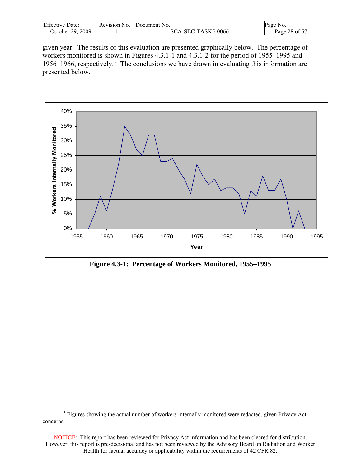<span id="page-27-0"></span>

| <b>Effective Date:</b> | Revision No. | Document No.       | Page No.      |
|------------------------|--------------|--------------------|---------------|
| October 29, 2009       |              | SCA-SEC-TASK5-0066 | Page 28 of 57 |

given year. The results of this evaluation are presented graphically below. The percentage of workers monitored is shown in Figures 4.3.1-1 and 4.3.1-2 for the period of 1955–1995 and [1](#page-27-0)956–1966, respectively.<sup>1</sup> The conclusions we have drawn in evaluating this information are presented below.



**Figure 4.3-1: Percentage of Workers Monitored, 1955–1995** 

 $\begin{array}{c|c}\n\hline\n\end{array}$ <sup>1</sup> Figures showing the actual number of workers internally monitored were redacted, given Privacy Act concerns.

NOTICE: This report has been reviewed for Privacy Act information and has been cleared for distribution. However, this report is pre-decisional and has not been reviewed by the Advisory Board on Radiation and Worker Health for factual accuracy or applicability within the requirements of 42 CFR 82.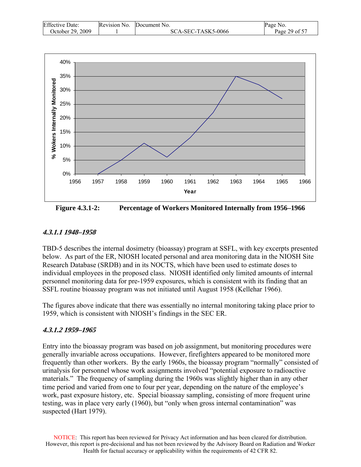| <b>Effective Date:</b> | Revision No. | Document No.       | Page No.      |
|------------------------|--------------|--------------------|---------------|
| October 29, 2009       |              | SCA-SEC-TASK5-0066 | Page 29 of 57 |



**Figure 4.3.1-2: Percentage of Workers Monitored Internally from 1956–1966** 

## **4.3.1.1 1948–1958**

TBD-5 describes the internal dosimetry (bioassay) program at SSFL, with key excerpts presented below. As part of the ER, NIOSH located personal and area monitoring data in the NIOSH Site Research Database (SRDB) and in its NOCTS, which have been used to estimate doses to individual employees in the proposed class. NIOSH identified only limited amounts of internal personnel monitoring data for pre-1959 exposures, which is consistent with its finding that an SSFL routine bioassay program was not initiated until August 1958 (Kellehar 1966).

The figures above indicate that there was essentially no internal monitoring taking place prior to 1959, which is consistent with NIOSH's findings in the SEC ER.

## **4.3.1.2 1959–1965**

Entry into the bioassay program was based on job assignment, but monitoring procedures were generally invariable across occupations. However, firefighters appeared to be monitored more frequently than other workers. By the early 1960s, the bioassay program "normally" consisted of urinalysis for personnel whose work assignments involved "potential exposure to radioactive materials." The frequency of sampling during the 1960s was slightly higher than in any other time period and varied from one to four per year, depending on the nature of the employee's work, past exposure history, etc. Special bioassay sampling, consisting of more frequent urine testing, was in place very early (1960), but "only when gross internal contamination" was suspected (Hart 1979).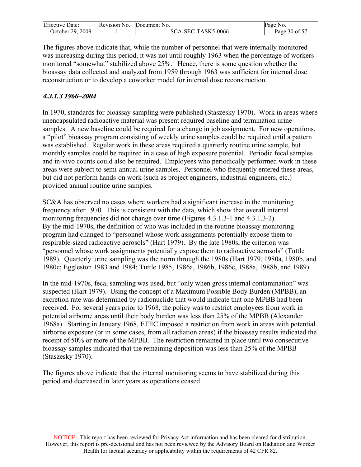| <b>Effective Date:</b> | Revision No. | Document No.       | Page No.      |
|------------------------|--------------|--------------------|---------------|
| October 29, 2009       |              | SCA-SEC-TASK5-0066 | Page 30 of 57 |

The figures above indicate that, while the number of personnel that were internally monitored was increasing during this period, it was not until roughly 1963 when the percentage of workers monitored "somewhat" stabilized above 25%. Hence, there is some question whether the bioassay data collected and analyzed from 1959 through 1963 was sufficient for internal dose reconstruction or to develop a coworker model for internal dose reconstruction.

## **4.3.1.3 1966–2004**

In 1970, standards for bioassay sampling were published (Staszesky 1970). Work in areas where unencapsulated radioactive material was present required baseline and termination urine samples. A new baseline could be required for a change in job assignment. For new operations, a "pilot" bioassay program consisting of weekly urine samples could be required until a pattern was established. Regular work in these areas required a quarterly routine urine sample, but monthly samples could be required in a case of high exposure potential. Periodic fecal samples and in-vivo counts could also be required. Employees who periodically performed work in these areas were subject to semi-annual urine samples. Personnel who frequently entered these areas, but did not perform hands-on work (such as project engineers, industrial engineers, etc.) provided annual routine urine samples.

SC&A has observed no cases where workers had a significant increase in the monitoring frequency after 1970. This is consistent with the data, which show that overall internal monitoring frequencies did not change over time (Figures 4.3.1.3-1 and 4.3.1.3-2). By the mid-1970s, the definition of who was included in the routine bioassay monitoring program had changed to "personnel whose work assignments potentially expose them to respirable-sized radioactive aerosols" (Hart 1979). By the late 1980s, the criterion was "personnel whose work assignments potentially expose them to radioactive aerosols" (Tuttle 1989). Quarterly urine sampling was the norm through the 1980s (Hart 1979, 1980a, 1980b, and 1980c; Eggleston 1983 and 1984; Tuttle 1985, 1986a, 1986b, 1986c, 1988a, 1988b, and 1989).

In the mid-1970s, fecal sampling was used, but "only when gross internal contamination" was suspected (Hart 1979). Using the concept of a Maximum Possible Body Burden (MPBB), an excretion rate was determined by radionuclide that would indicate that one MPBB had been received. For several years prior to 1968, the policy was to restrict employees from work in potential airborne areas until their body burden was less than 25% of the MPBB (Alexander 1968a). Starting in January 1968, ETEC imposed a restriction from work in areas with potential airborne exposure (or in some cases, from all radiation areas) if the bioassay results indicated the receipt of 50% or more of the MPBB. The restriction remained in place until two consecutive bioassay samples indicated that the remaining deposition was less than 25% of the MPBB (Staszesky 1970).

The figures above indicate that the internal monitoring seems to have stabilized during this period and decreased in later years as operations ceased.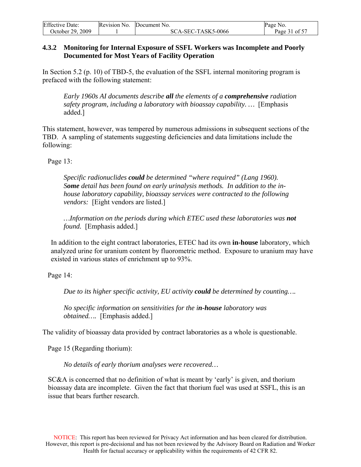<span id="page-30-0"></span>

| <b>Effective Date:</b> | Revision No. | Document No.       | Page No.      |
|------------------------|--------------|--------------------|---------------|
| October 29, 2009       |              | SCA-SEC-TASK5-0066 | Page 31 of 57 |

#### **4.3.2 Monitoring for Internal Exposure of SSFL Workers was Incomplete and Poorly Documented for Most Years of Facility Operation**

In Section 5.2 (p. 10) of TBD-5, the evaluation of the SSFL internal monitoring program is prefaced with the following statement:

*Early 1960s AI documents describe all the elements of a comprehensive radiation safety program, including a laboratory with bioassay capability. …* [Emphasis added.]

This statement, however, was tempered by numerous admissions in subsequent sections of the TBD. A sampling of statements suggesting deficiencies and data limitations include the following:

Page 13:

*Specific radionuclides could be determined "where required" (Lang 1960). Some detail has been found on early urinalysis methods. In addition to the inhouse laboratory capability, bioassay services were contracted to the following vendors:* [Eight vendors are listed.]

*…Information on the periods during which ETEC used these laboratories was not found.* [Emphasis added.]

 In addition to the eight contract laboratories, ETEC had its own **in-house** laboratory, which analyzed urine for uranium content by fluorometric method. Exposure to uranium may have existed in various states of enrichment up to 93%.

Page 14:

*Due to its higher specific activity, EU activity could be determined by counting….* 

*No specific information on sensitivities for the in-house laboratory was obtained….* [Emphasis added.]

The validity of bioassay data provided by contract laboratories as a whole is questionable.

Page 15 (Regarding thorium):

*No details of early thorium analyses were recovered…* 

SC&A is concerned that no definition of what is meant by 'early' is given, and thorium bioassay data are incomplete. Given the fact that thorium fuel was used at SSFL, this is an issue that bears further research.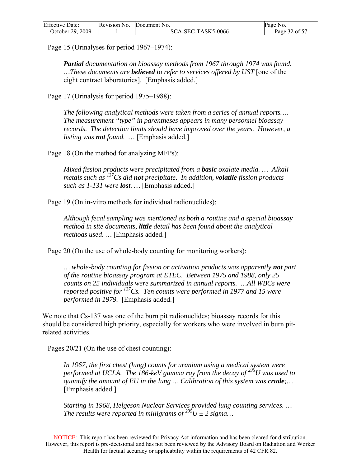| <b>Effective Date:</b> | Revision No. | Document No.       | Page No.      |
|------------------------|--------------|--------------------|---------------|
| October 29, 2009       |              | SCA-SEC-TASK5-0066 | Page 32 of 57 |

Page 15 (Urinalyses for period 1967–1974):

*Partial documentation on bioassay methods from 1967 through 1974 was found. …These documents are believed to refer to services offered by UST* [one of the eight contract laboratories]. [Emphasis added.]

Page 17 (Urinalysis for period 1975–1988):

*The following analytical methods were taken from a series of annual reports…. The measurement "type" in parentheses appears in many personnel bioassay records. The detection limits should have improved over the years. However, a listing was not found. …* [Emphasis added.]

Page 18 (On the method for analyzing MFPs):

*Mixed fission products were precipitated from a basic oxalate media. … Alkali metals such as 137Cs did not precipitate. In addition, volatile fission products such as 1-131 were lost. …* [Emphasis added.]

Page 19 (On in-vitro methods for individual radionuclides):

*Although fecal sampling was mentioned as both a routine and a special bioassay method in site documents, little detail has been found about the analytical methods used. …* [Emphasis added.]

Page 20 (On the use of whole-body counting for monitoring workers):

*… whole-body counting for fission or activation products was apparently not part of the routine bioassay program at ETEC. Between 1975 and 1988, only 25 counts on 25 individuals were summarized in annual reports. …All WBCs were reported positive for 137Cs. Ten counts were performed in 1977 and 15 were performed in 1979.* [Emphasis added.]

We note that Cs-137 was one of the burn pit radionuclides; bioassay records for this should be considered high priority, especially for workers who were involved in burn pitrelated activities.

Pages 20/21 (On the use of chest counting):

*In 1967, the first chest (lung) counts for uranium using a medical system were performed at UCLA. The 186-keV gamma ray from the decay of 235U was used to quantify the amount of EU in the lung … Calibration of this system was crude;…* [Emphasis added.]

*Starting in 1968, Helgeson Nuclear Services provided lung counting services. … The results were reported in milligrams of*  $235U \pm 2$  *sigma...* 

NOTICE: This report has been reviewed for Privacy Act information and has been cleared for distribution. However, this report is pre-decisional and has not been reviewed by the Advisory Board on Radiation and Worker Health for factual accuracy or applicability within the requirements of 42 CFR 82.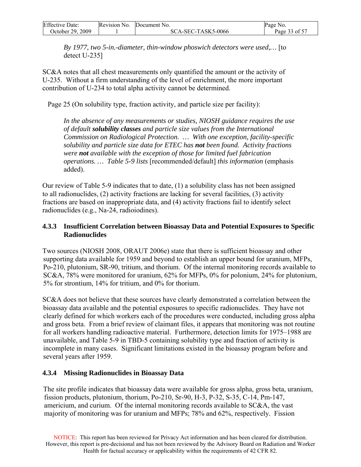<span id="page-32-0"></span>

| <b>Effective Date:</b> | Revision No. | Document No.       | Page No.      |
|------------------------|--------------|--------------------|---------------|
| October 29, 2009       |              | SCA-SEC-TASK5-0066 | Page 33 of 57 |

*By 1977, two 5-in.-diameter, thin-window phoswich detectors were used,…* [to detect U-235]

SC&A notes that all chest measurements only quantified the amount or the activity of U-235. Without a firm understanding of the level of enrichment, the more important contribution of U-234 to total alpha activity cannot be determined.

Page 25 (On solubility type, fraction activity, and particle size per facility):

*In the absence of any measurements or studies, NIOSH guidance requires the use of default solubility classes and particle size values from the International Commission on Radiological Protection. … With one exception, facility-specific solubility and particle size data for ETEC has not been found. Activity fractions were not available with the exception of those for limited fuel fabrication operations. … Table 5-9 lists* [recommended/default] *this information* (emphasis added).

Our review of Table 5-9 indicates that to date, (1) a solubility class has not been assigned to all radionuclides, (2) activity fractions are lacking for several facilities, (3) activity fractions are based on inappropriate data, and (4) activity fractions fail to identify select radionuclides (e.g., Na-24, radioiodines).

## **4.3.3 Insufficient Correlation between Bioassay Data and Potential Exposures to Specific Radionuclides**

Two sources (NIOSH 2008, ORAUT 2006e) state that there is sufficient bioassay and other supporting data available for 1959 and beyond to establish an upper bound for uranium, MFPs, Po-210, plutonium, SR-90, tritium, and thorium. Of the internal monitoring records available to SC&A, 78% were monitored for uranium, 62% for MFPs, 0% for polonium, 24% for plutonium, 5% for strontium, 14% for tritium, and 0% for thorium.

SC&A does not believe that these sources have clearly demonstrated a correlation between the bioassay data available and the potential exposures to specific radionuclides. They have not clearly defined for which workers each of the procedures were conducted, including gross alpha and gross beta. From a brief review of claimant files, it appears that monitoring was not routine for all workers handling radioactive material. Furthermore, detection limits for 1975–1988 are unavailable, and Table 5-9 in TBD-5 containing solubility type and fraction of activity is incomplete in many cases. Significant limitations existed in the bioassay program before and several years after 1959.

## **4.3.4 Missing Radionuclides in Bioassay Data**

The site profile indicates that bioassay data were available for gross alpha, gross beta, uranium, fission products, plutonium, thorium, Po-210, Sr-90, H-3, P-32, S-35, C-14, Pm-147, americium, and curium. Of the internal monitoring records available to SC&A, the vast majority of monitoring was for uranium and MFPs; 78% and 62%, respectively. Fission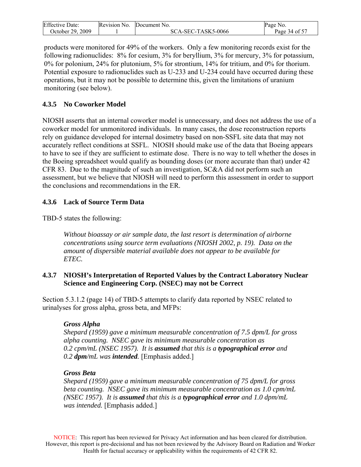<span id="page-33-0"></span>

| <b>Effective Date:</b> | Revision No. | Document No.       | Page No.                  |
|------------------------|--------------|--------------------|---------------------------|
| October 29, 2009       |              | SCA-SEC-TASK5-0066 | Page 34 of 5 <sup>-</sup> |

products were monitored for 49% of the workers. Only a few monitoring records exist for the following radionuclides: 8% for cesium, 3% for beryllium, 3% for mercury, 3% for potassium, 0% for polonium, 24% for plutonium, 5% for strontium, 14% for tritium, and 0% for thorium. Potential exposure to radionuclides such as U-233 and U-234 could have occurred during these operations, but it may not be possible to determine this, given the limitations of uranium monitoring (see below).

## **4.3.5 No Coworker Model**

NIOSH asserts that an internal coworker model is unnecessary, and does not address the use of a coworker model for unmonitored individuals. In many cases, the dose reconstruction reports rely on guidance developed for internal dosimetry based on non-SSFL site data that may not accurately reflect conditions at SSFL. NIOSH should make use of the data that Boeing appears to have to see if they are sufficient to estimate dose. There is no way to tell whether the doses in the Boeing spreadsheet would qualify as bounding doses (or more accurate than that) under 42 CFR 83. Due to the magnitude of such an investigation, SC&A did not perform such an assessment, but we believe that NIOSH will need to perform this assessment in order to support the conclusions and recommendations in the ER.

## **4.3.6 Lack of Source Term Data**

TBD-5 states the following:

*Without bioassay or air sample data, the last resort is determination of airborne concentrations using source term evaluations (NIOSH 2002, p. 19). Data on the amount of dispersible material available does not appear to be available for ETEC.* 

## **4.3.7 NIOSH's Interpretation of Reported Values by the Contract Laboratory Nuclear Science and Engineering Corp. (NSEC) may not be Correct**

Section 5.3.1.2 (page 14) of TBD-5 attempts to clarify data reported by NSEC related to urinalyses for gross alpha, gross beta, and MFPs:

## *Gross Alpha*

*Shepard (1959) gave a minimum measurable concentration of 7.5 dpm/L for gross alpha counting. NSEC gave its minimum measurable concentration as 0.2 cpm/mL (NSEC 1957). It is assumed that this is a typographical error and 0.2 dpm/mL was intended.* [Emphasis added.]

## *Gross Beta*

*Shepard (1959) gave a minimum measurable concentration of 75 dpm/L for gross beta counting. NSEC gave its minimum measurable concentration as 1.0 cpm/mL (NSEC 1957). It is assumed that this is a typographical error and 1.0 dpm/mL was intended.* [Emphasis added.]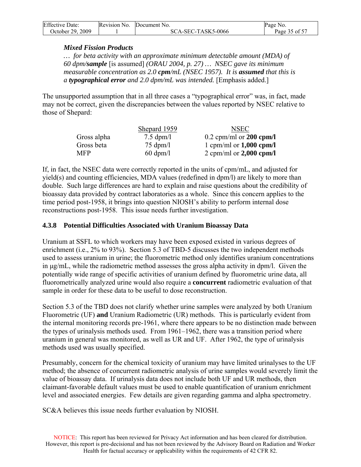<span id="page-34-0"></span>

| <b>Effective Date:</b> | Revision No. Document No. | Page No.      |
|------------------------|---------------------------|---------------|
| October 29, 2009       | SCA-SEC-TASK5-0066        | Page 35 of 57 |

#### *Mixed Fission Products*

*… for beta activity with an approximate minimum detectable amount (MDA) of 60 dpm/sample* [is assumed] *(ORAU 2004, p. 27) … NSEC gave its minimum measurable concentration as 2.0 cpm/mL (NSEC 1957). It is assumed that this is a typographical error and 2.0 dpm/mL was intended.* [Emphasis added.]

The unsupported assumption that in all three cases a "typographical error" was, in fact, made may not be correct, given the discrepancies between the values reported by NSEC relative to those of Shepard:

|             | Shepard 1959        | <b>NSEC</b>               |
|-------------|---------------------|---------------------------|
| Gross alpha | $7.5 \text{ dpm}/l$ | $0.2$ cpm/ml or 200 cpm/l |
| Gross beta  | $75 \text{ dpm}/l$  | 1 cpm/ml or $1,000$ cpm/l |
| MFP         | $60 \text{ dpm}/l$  | 2 cpm/ml or $2,000$ cpm/l |

If, in fact, the NSEC data were correctly reported in the units of cpm/mL, and adjusted for yield(s) and counting efficiencies, MDA values (redefined in dpm/l) are likely to more than double. Such large differences are hard to explain and raise questions about the credibility of bioassay data provided by contract laboratories as a whole. Since this concern applies to the time period post-1958, it brings into question NIOSH's ability to perform internal dose reconstructions post-1958. This issue needs further investigation.

## **4.3.8 Potential Difficulties Associated with Uranium Bioassay Data**

Uranium at SSFL to which workers may have been exposed existed in various degrees of enrichment (i.e., 2% to 93%). Section 5.3 of TBD-5 discusses the two independent methods used to assess uranium in urine; the fluorometric method only identifies uranium concentrations in μg/mL, while the radiometric method assesses the gross alpha activity in dpm/l. Given the potentially wide range of specific activities of uranium defined by fluorometric urine data, all fluorometrically analyzed urine would also require a **concurrent** radiometric evaluation of that sample in order for these data to be useful to dose reconstruction.

Section 5.3 of the TBD does not clarify whether urine samples were analyzed by both Uranium Fluorometric (UF) **and** Uranium Radiometric (UR) methods. This is particularly evident from the internal monitoring records pre-1961, where there appears to be no distinction made between the types of urinalysis methods used. From 1961–1962, there was a transition period where uranium in general was monitored, as well as UR and UF. After 1962, the type of urinalysis methods used was usually specified.

Presumably, concern for the chemical toxicity of uranium may have limited urinalyses to the UF method; the absence of concurrent radiometric analysis of urine samples would severely limit the value of bioassay data. If urinalysis data does not include both UF and UR methods, then claimant-favorable default values must be used to enable quantification of uranium enrichment level and associated energies. Few details are given regarding gamma and alpha spectrometry.

SC&A believes this issue needs further evaluation by NIOSH.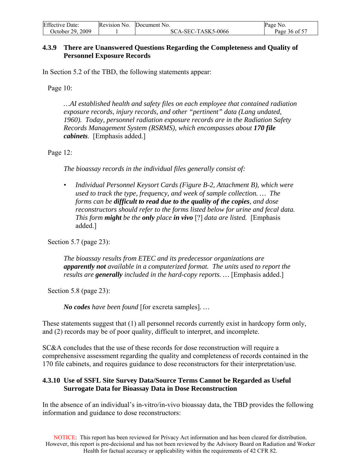<span id="page-35-0"></span>

| <b>Effective Date:</b> | Revision No. Document No. | Page No.      |
|------------------------|---------------------------|---------------|
| October 29. 2009       | SCA-SEC-TASK5-0066        | Page 36 of 57 |

#### **4.3.9 There are Unanswered Questions Regarding the Completeness and Quality of Personnel Exposure Records**

In Section 5.2 of the TBD, the following statements appear:

Page 10:

*…AI established health and safety files on each employee that contained radiation exposure records, injury records, and other "pertinent" data (Lang undated, 1960). Today, personnel radiation exposure records are in the Radiation Safety Records Management System (RSRMS), which encompasses about 170 file cabinets*. [Emphasis added.]

Page 12:

*The bioassay records in the individual files generally consist of:* 

*• Individual Personnel Keysort Cards (Figure B-2, Attachment B), which were used to track the type, frequency, and week of sample collection. … The forms can be difficult to read due to the quality of the copies, and dose reconstructors should refer to the forms listed below for urine and fecal data. This form might be the only place in vivo* [?] *data are listed.* [Emphasis added.]

Section 5.7 (page 23):

*The bioassay results from ETEC and its predecessor organizations are apparently not available in a computerized format. The units used to report the results are generally included in the hard-copy reports. …* [Emphasis added.]

Section 5.8 (page 23):

*No codes have been found* [for excreta samples]*. …* 

These statements suggest that (1) all personnel records currently exist in hardcopy form only, and (2) records may be of poor quality, difficult to interpret, and incomplete.

SC&A concludes that the use of these records for dose reconstruction will require a comprehensive assessment regarding the quality and completeness of records contained in the 170 file cabinets, and requires guidance to dose reconstructors for their interpretation/use.

#### **4.3.10 Use of SSFL Site Survey Data/Source Terms Cannot be Regarded as Useful Surrogate Data for Bioassay Data in Dose Reconstruction**

In the absence of an individual's in-vitro/in-vivo bioassay data, the TBD provides the following information and guidance to dose reconstructors: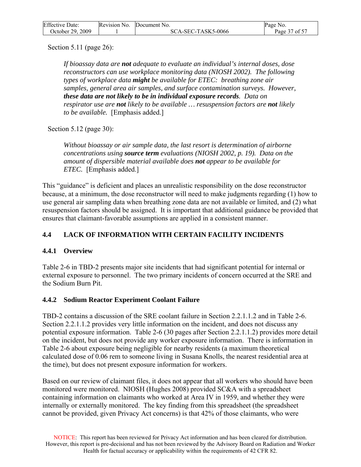<span id="page-36-0"></span>

| <b>Effective Date:</b> | Revision No. Document No. | Page No.      |
|------------------------|---------------------------|---------------|
| October 29, 2009       | SCA-SEC-TASK5-0066        | Page 37 of 57 |

Section 5.11 (page 26):

*If bioassay data are not adequate to evaluate an individual's internal doses, dose reconstructors can use workplace monitoring data (NIOSH 2002). The following types of workplace data might be available for ETEC: breathing zone air samples, general area air samples, and surface contamination surveys. However, these data are not likely to be in individual exposure records. Data on respirator use are not likely to be available … resuspension factors are not likely to be available.* [Emphasis added.]

Section 5.12 (page 30):

*Without bioassay or air sample data, the last resort is determination of airborne concentrations using source term evaluations (NIOSH 2002, p. 19). Data on the amount of dispersible material available does not appear to be available for ETEC.* [Emphasis added.]

This "guidance" is deficient and places an unrealistic responsibility on the dose reconstructor because, at a minimum, the dose reconstructor will need to make judgments regarding (1) how to use general air sampling data when breathing zone data are not available or limited, and (2) what resuspension factors should be assigned. It is important that additional guidance be provided that ensures that claimant-favorable assumptions are applied in a consistent manner.

## **4.4 LACK OF INFORMATION WITH CERTAIN FACILITY INCIDENTS**

## **4.4.1 Overview**

Table 2-6 in TBD-2 presents major site incidents that had significant potential for internal or external exposure to personnel. The two primary incidents of concern occurred at the SRE and the Sodium Burn Pit.

## **4.4.2 Sodium Reactor Experiment Coolant Failure**

TBD-2 contains a discussion of the SRE coolant failure in Section 2.2.1.1.2 and in Table 2-6. Section 2.2.1.1.2 provides very little information on the incident, and does not discuss any potential exposure information. Table 2-6 (30 pages after Section 2.2.1.1.2) provides more detail on the incident, but does not provide any worker exposure information. There is information in Table 2-6 about exposure being negligible for nearby residents (a maximum theoretical calculated dose of 0.06 rem to someone living in Susana Knolls, the nearest residential area at the time), but does not present exposure information for workers.

Based on our review of claimant files, it does not appear that all workers who should have been monitored were monitored. NIOSH (Hughes 2008) provided SC&A with a spreadsheet containing information on claimants who worked at Area IV in 1959, and whether they were internally or externally monitored. The key finding from this spreadsheet (the spreadsheet cannot be provided, given Privacy Act concerns) is that 42% of those claimants, who were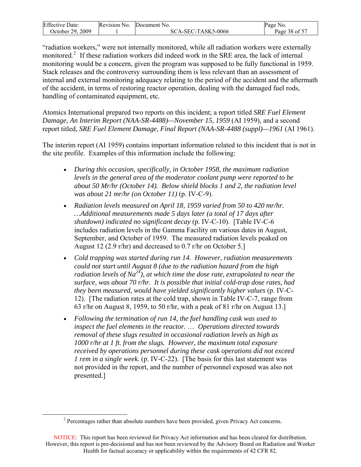<span id="page-37-0"></span>

| <b>Effective Date:</b> | Revision No. | Document No.       | Page No.      |
|------------------------|--------------|--------------------|---------------|
| October 29, 2009       |              | SCA-SEC-TASK5-0066 | Page 38 of 57 |

"radiation workers," were not internally monitored, while all radiation workers were externally monitored.<sup>[2](#page-37-0)</sup> If these radiation workers did indeed work in the SRE area, the lack of internal monitoring would be a concern, given the program was supposed to be fully functional in 1959. Stack releases and the controversy surrounding them is less relevant than an assessment of internal and external monitoring adequacy relating to the period of the accident and the aftermath of the accident, in terms of restoring reactor operation, dealing with the damaged fuel rods, handling of contaminated equipment, etc.

Atomics International prepared two reports on this incident; a report titled *SRE Fuel Element Damage, An Interim Report (NAA-SR-4488)—November 15, 1959* (AI 1959), and a second report titled, *SRE Fuel Element Damage, Final Report (NAA-SR-4488 (suppl)—1961* (AI 1961).

The interim report (AI 1959) contains important information related to this incident that is not in the site profile. Examples of this information include the following:

- *During this occasion, specifically, in October 1958, the maximum radiation levels in the general area of the moderator coolant pump were reported to be about 50 Mr/hr (October 14). Below shield blocks 1 and 2, the radiation level was about 21 mr/hr (on October 11)* (p. IV-C-9).
- *Radiation levels measured on April 18, 1959 varied from 50 to 420 mr/hr. …Additional measurements made 5 days later (a total of 17 days after shutdown) indicated no significant decay* (p. IV-C-10). [Table IV-C-6 includes radiation levels in the Gamma Facility on various dates in August, September, and October of 1959. The measured radiation levels peaked on August 12 (2.9 r/hr) and decreased to 0.7 r/hr on October 5.]
- *Cold trapping was started during run 14. However, radiation measurements could not start until August 8 (due to the radiation hazard from the high radiation levels of Na24), at which time the dose rate, extrapolated to near the surface, was about 70 r/hr. It is possible that initial cold-trap dose rates, had they been measured, would have yielded significantly higher values* (p. IV-C-12). [The radiation rates at the cold trap, shown in Table IV-C-7, range from 63 r/hr on August 8, 1959, to 50 r/hr, with a peak of 81 r/hr on August 13.]
- *Following the termination of run 14, the fuel handling cask was used to inspect the fuel elements in the reactor.* … *Operations directed towards removal of these slugs resulted in occasional radiation levels as high as 1000 r/hr at 1 ft. from the slugs. However, the maximum total exposure received by operations personnel during these cask operations did not exceed 1 rem in a single week.* (p. IV-C-22). [The basis for this last statement was not provided in the report, and the number of personnel exposed was also not presented.]

 $\overline{a}$ 

 $2^2$  Percentages rather than absolute numbers have been provided, given Privacy Act concerns.

NOTICE: This report has been reviewed for Privacy Act information and has been cleared for distribution. However, this report is pre-decisional and has not been reviewed by the Advisory Board on Radiation and Worker Health for factual accuracy or applicability within the requirements of 42 CFR 82.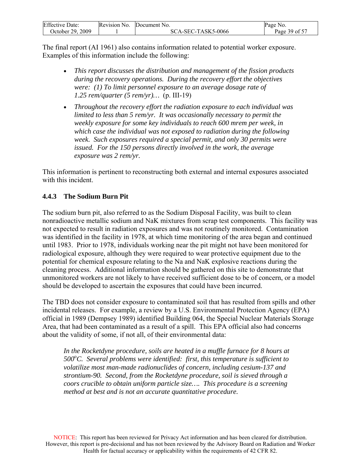<span id="page-38-0"></span>

| <b>Effective Date:</b> | Revision No. | Document No.       | Page No.      |
|------------------------|--------------|--------------------|---------------|
| October 29, 2009       |              | SCA-SEC-TASK5-0066 | Page 39 of 57 |

The final report (AI 1961) also contains information related to potential worker exposure. Examples of this information include the following:

- *This report discusses the distribution and management of the fission products during the recovery operations. During the recovery effort the objectives were: (1) To limit personnel exposure to an average dosage rate of 1.25 rem/quarter (5 rem/yr)…* (p. III-19)
- *Throughout the recovery effort the radiation exposure to each individual was limited to less than 5 rem/yr. It was occasionally necessary to permit the weekly exposure for some key individuals to reach 600 mrem per week, in which case the individual was not exposed to radiation during the following week. Such exposures required a special permit, and only 30 permits were issued. For the 150 persons directly involved in the work, the average exposure was 2 rem/yr.*

This information is pertinent to reconstructing both external and internal exposures associated with this incident.

## **4.4.3 The Sodium Burn Pit**

The sodium burn pit, also referred to as the Sodium Disposal Facility, was built to clean nonradioactive metallic sodium and NaK mixtures from scrap test components. This facility was not expected to result in radiation exposures and was not routinely monitored. Contamination was identified in the facility in 1978, at which time monitoring of the area began and continued until 1983. Prior to 1978, individuals working near the pit might not have been monitored for radiological exposure, although they were required to wear protective equipment due to the potential for chemical exposure relating to the Na and NaK explosive reactions during the cleaning process. Additional information should be gathered on this site to demonstrate that unmonitored workers are not likely to have received sufficient dose to be of concern, or a model should be developed to ascertain the exposures that could have been incurred.

The TBD does not consider exposure to contaminated soil that has resulted from spills and other incidental releases. For example, a review by a U.S. Environmental Protection Agency (EPA) official in 1989 (Dempsey 1989) identified Building 064, the Special Nuclear Materials Storage Area, that had been contaminated as a result of a spill. This EPA official also had concerns about the validity of some, if not all, of their environmental data:

In the Rocketdyne procedure, soils are heated in a muffle furnace for 8 hours at 500°C. Several problems were identified: first, this temperature is sufficient to *volatilize most man-made radionuclides of concern, including cesium-137 and strontium-90. Second, from the Rocketdyne procedure, soil is sieved through a coors crucible to obtain uniform particle size…. This procedure is a screening method at best and is not an accurate quantitative procedure.*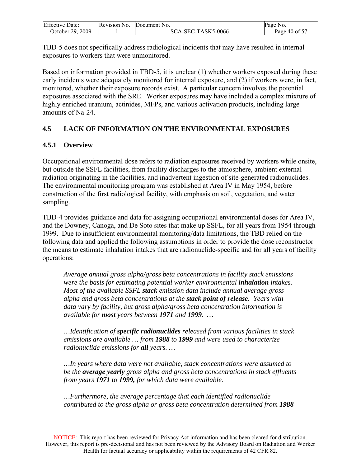<span id="page-39-0"></span>

| <b>Effective Date:</b> | Revision No. | Document No.       | Page<br>NO.   |
|------------------------|--------------|--------------------|---------------|
| October 29, 2009       |              | SCA-SEC-TASK5-0066 | Page 40 of 57 |

TBD-5 does not specifically address radiological incidents that may have resulted in internal exposures to workers that were unmonitored.

Based on information provided in TBD-5, it is unclear (1) whether workers exposed during these early incidents were adequately monitored for internal exposure, and (2) if workers were, in fact, monitored, whether their exposure records exist. A particular concern involves the potential exposures associated with the SRE. Worker exposures may have included a complex mixture of highly enriched uranium, actinides, MFPs, and various activation products, including large amounts of Na-24.

## **4.5 LACK OF INFORMATION ON THE ENVIRONMENTAL EXPOSURES**

## **4.5.1 Overview**

Occupational environmental dose refers to radiation exposures received by workers while onsite, but outside the SSFL facilities, from facility discharges to the atmosphere, ambient external radiation originating in the facilities, and inadvertent ingestion of site-generated radionuclides. The environmental monitoring program was established at Area IV in May 1954, before construction of the first radiological facility, with emphasis on soil, vegetation, and water sampling.

TBD-4 provides guidance and data for assigning occupational environmental doses for Area IV, and the Downey, Canoga, and De Soto sites that make up SSFL, for all years from 1954 through 1999. Due to insufficient environmental monitoring/data limitations, the TBD relied on the following data and applied the following assumptions in order to provide the dose reconstructor the means to estimate inhalation intakes that are radionuclide-specific and for all years of facility operations:

*Average annual gross alpha/gross beta concentrations in facility stack emissions were the basis for estimating potential worker environmental inhalation intakes. Most of the available SSFL stack emission data include annual average gross alpha and gross beta concentrations at the stack point of release. Years with data vary by facility, but gross alpha/gross beta concentration information is available for most years between 1971 and 1999. …* 

*…Identification of specific radionuclides released from various facilities in stack emissions are available … from 1988 to 1999 and were used to characterize radionuclide emissions for all years. …* 

*…In years where data were not available, stack concentrations were assumed to be the average yearly gross alpha and gross beta concentrations in stack effluents from years 1971 to 1999, for which data were available.* 

*…Furthermore, the average percentage that each identified radionuclide contributed to the gross alpha or gross beta concentration determined from 1988*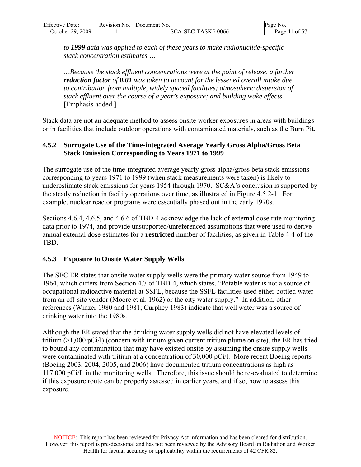<span id="page-40-0"></span>

| <b>Effective Date:</b> | Revision No. | Document No.       | Page No.      |
|------------------------|--------------|--------------------|---------------|
| October 29, 2009       |              | SCA-SEC-TASK5-0066 | Page 41 of 57 |

*to 1999 data was applied to each of these years to make radionuclide-specific stack concentration estimates….* 

*…Because the stack effluent concentrations were at the point of release, a further reduction factor of 0.01 was taken to account for the lessened overall intake due to contribution from multiple, widely spaced facilities; atmospheric dispersion of stack effluent over the course of a year's exposure; and building wake effects.* [Emphasis added.]

Stack data are not an adequate method to assess onsite worker exposures in areas with buildings or in facilities that include outdoor operations with contaminated materials, such as the Burn Pit.

#### **4.5.2 Surrogate Use of the Time-integrated Average Yearly Gross Alpha/Gross Beta Stack Emission Corresponding to Years 1971 to 1999**

The surrogate use of the time-integrated average yearly gross alpha/gross beta stack emissions corresponding to years 1971 to 1999 (when stack measurements were taken) is likely to underestimate stack emissions for years 1954 through 1970. SC&A's conclusion is supported by the steady reduction in facility operations over time, as illustrated in Figure 4.5.2-1. For example, nuclear reactor programs were essentially phased out in the early 1970s.

Sections 4.6.4, 4.6.5, and 4.6.6 of TBD-4 acknowledge the lack of external dose rate monitoring data prior to 1974, and provide unsupported/unreferenced assumptions that were used to derive annual external dose estimates for a **restricted** number of facilities, as given in Table 4-4 of the TBD.

## **4.5.3 Exposure to Onsite Water Supply Wells**

The SEC ER states that onsite water supply wells were the primary water source from 1949 to 1964, which differs from Section 4.7 of TBD-4, which states, "Potable water is not a source of occupational radioactive material at SSFL, because the SSFL facilities used either bottled water from an off-site vendor (Moore et al. 1962) or the city water supply." In addition, other references (Winzer 1980 and 1981; Curphey 1983) indicate that well water was a source of drinking water into the 1980s.

Although the ER stated that the drinking water supply wells did not have elevated levels of tritium (>1,000 pCi/l) (concern with tritium given current tritium plume on site), the ER has tried to bound any contamination that may have existed onsite by assuming the onsite supply wells were contaminated with tritium at a concentration of 30,000 pCi/l. More recent Boeing reports (Boeing 2003, 2004, 2005, and 2006) have documented tritium concentrations as high as 117,000 pCi/L in the monitoring wells. Therefore, this issue should be re-evaluated to determine if this exposure route can be properly assessed in earlier years, and if so, how to assess this exposure.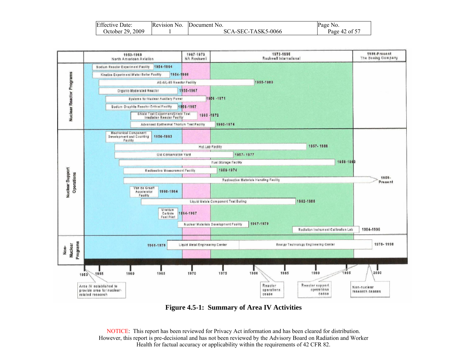| <b>Effective Date:</b> | Revision No. | Document No.       | Page No.      |
|------------------------|--------------|--------------------|---------------|
| 2009<br>October 29.    |              | SCA-SEC-TASK5-0066 | Page 42 of 57 |



**Figure 4.5-1: Summary of Area IV Activities**

NOTICE: This report has been reviewed for Privacy Act information and has been cleared for distribution. However, this report is pre-decisional and has not been reviewed by the Advisory Board on Radiation and Worker Health for factual accuracy or applicability within the requirements of 42 CFR 82.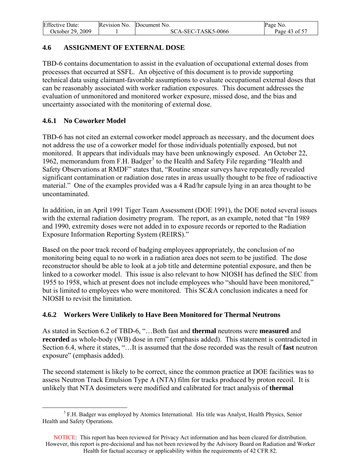<span id="page-42-0"></span>

| <b>Effective Date:</b> | Revision No. | Document No.       | Page No.      |
|------------------------|--------------|--------------------|---------------|
| October 29. 2009       |              | SCA-SEC-TASK5-0066 | Page 43 of 57 |

## **4.6 ASSIGNMENT OF EXTERNAL DOSE**

TBD-6 contains documentation to assist in the evaluation of occupational external doses from processes that occurred at SSFL. An objective of this document is to provide supporting technical data using claimant-favorable assumptions to evaluate occupational external doses that can be reasonably associated with worker radiation exposures. This document addresses the evaluation of unmonitored and monitored worker exposure, missed dose, and the bias and uncertainty associated with the monitoring of external dose.

## **4.6.1 No Coworker Model**

TBD-6 has not cited an external coworker model approach as necessary, and the document does not address the use of a coworker model for those individuals potentially exposed, but not monitored. It appears that individuals may have been unknowingly exposed. An October 22, 1962, memorandum from F.H. Badger<sup>[3](#page-42-0)</sup> to the Health and Safety File regarding "Health and Safety Observations at RMDF" states that, "Routine smear surveys have repeatedly revealed significant contamination or radiation dose rates in areas usually thought to be free of radioactive material." One of the examples provided was a 4 Rad/hr capsule lying in an area thought to be uncontaminated.

In addition, in an April 1991 Tiger Team Assessment (DOE 1991), the DOE noted several issues with the external radiation dosimetry program. The report, as an example, noted that "In 1989" and 1990, extremity doses were not added in to exposure records or reported to the Radiation Exposure Information Reporting System (REIRS)."

Based on the poor track record of badging employees appropriately, the conclusion of no monitoring being equal to no work in a radiation area does not seem to be justified. The dose reconstructor should be able to look at a job title and determine potential exposure, and then be linked to a coworker model. This issue is also relevant to how NIOSH has defined the SEC from 1955 to 1958, which at present does not include employees who "should have been monitored," but is limited to employees who were monitored. This SC&A conclusion indicates a need for NIOSH to revisit the limitation.

## **4.6.2 Workers Were Unlikely to Have Been Monitored for Thermal Neutrons**

As stated in Section 6.2 of TBD-6, "…Both fast and **thermal** neutrons were **measured** and **recorded** as whole-body (WB) dose in rem" (emphasis added). This statement is contradicted in Section 6.4, where it states, "…It is assumed that the dose recorded was the result of **fast** neutron exposure" (emphasis added).

The second statement is likely to be correct, since the common practice at DOE facilities was to assess Neutron Track Emulsion Type A (NTA) film for tracks produced by proton recoil. It is unlikely that NTA dosimeters were modified and calibrated for tract analysis of **thermal**

 $\overline{a}$ <sup>3</sup> F.H. Badger was employed by Atomics International. His title was Analyst, Health Physics, Senior Health and Safety Operations.

NOTICE: This report has been reviewed for Privacy Act information and has been cleared for distribution. However, this report is pre-decisional and has not been reviewed by the Advisory Board on Radiation and Worker Health for factual accuracy or applicability within the requirements of 42 CFR 82.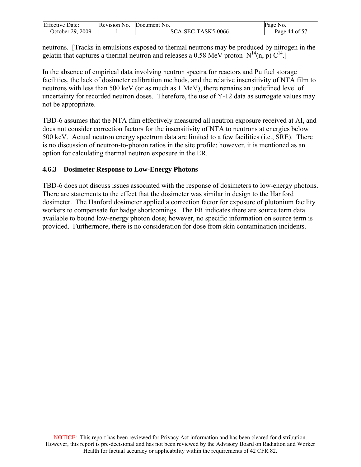<span id="page-43-0"></span>

| <b>Effective Date:</b> | Revision No. | Document No.       | No.<br>Page   |
|------------------------|--------------|--------------------|---------------|
| October 29. 2009       |              | SCA-SEC-TASK5-0066 | Page 44 of 57 |

neutrons. [Tracks in emulsions exposed to thermal neutrons may be produced by nitrogen in the gelatin that captures a thermal neutron and releases a 0.58 MeV proton– $N^{14}(n, p) C^{14}$ .

In the absence of empirical data involving neutron spectra for reactors and Pu fuel storage facilities, the lack of dosimeter calibration methods, and the relative insensitivity of NTA film to neutrons with less than 500 keV (or as much as 1 MeV), there remains an undefined level of uncertainty for recorded neutron doses. Therefore, the use of Y-12 data as surrogate values may not be appropriate.

TBD-6 assumes that the NTA film effectively measured all neutron exposure received at AI, and does not consider correction factors for the insensitivity of NTA to neutrons at energies below 500 keV. Actual neutron energy spectrum data are limited to a few facilities (i.e., SRE). There is no discussion of neutron-to-photon ratios in the site profile; however, it is mentioned as an option for calculating thermal neutron exposure in the ER.

#### **4.6.3 Dosimeter Response to Low-Energy Photons**

TBD-6 does not discuss issues associated with the response of dosimeters to low-energy photons. There are statements to the effect that the dosimeter was similar in design to the Hanford dosimeter. The Hanford dosimeter applied a correction factor for exposure of plutonium facility workers to compensate for badge shortcomings. The ER indicates there are source term data available to bound low-energy photon dose; however, no specific information on source term is provided. Furthermore, there is no consideration for dose from skin contamination incidents.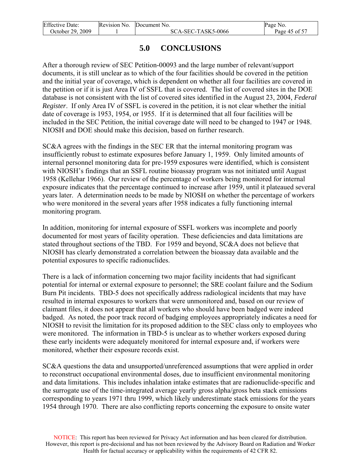<span id="page-44-0"></span>

| <b>Effective Date:</b> | Revision No. | Document No.       | Page No.      |
|------------------------|--------------|--------------------|---------------|
| October 29, 2009       |              | SCA-SEC-TASK5-0066 | Page 45 of 57 |

# **5.0 CONCLUSIONS**

After a thorough review of SEC Petition-00093 and the large number of relevant/support documents, it is still unclear as to which of the four facilities should be covered in the petition and the initial year of coverage, which is dependent on whether all four facilities are covered in the petition or if it is just Area IV of SSFL that is covered. The list of covered sites in the DOE database is not consistent with the list of covered sites identified in the August 23, 2004, *Federal Register*. If only Area IV of SSFL is covered in the petition, it is not clear whether the initial date of coverage is 1953, 1954, or 1955. If it is determined that all four facilities will be included in the SEC Petition, the initial coverage date will need to be changed to 1947 or 1948. NIOSH and DOE should make this decision, based on further research.

SC&A agrees with the findings in the SEC ER that the internal monitoring program was insufficiently robust to estimate exposures before January 1, 1959. Only limited amounts of internal personnel monitoring data for pre-1959 exposures were identified, which is consistent with NIOSH's findings that an SSFL routine bioassay program was not initiated until August 1958 (Kellehar 1966). Our review of the percentage of workers being monitored for internal exposure indicates that the percentage continued to increase after 1959, until it plateaued several years later. A determination needs to be made by NIOSH on whether the percentage of workers who were monitored in the several years after 1958 indicates a fully functioning internal monitoring program.

In addition, monitoring for internal exposure of SSFL workers was incomplete and poorly documented for most years of facility operation. These deficiencies and data limitations are stated throughout sections of the TBD. For 1959 and beyond, SC&A does not believe that NIOSH has clearly demonstrated a correlation between the bioassay data available and the potential exposures to specific radionuclides.

There is a lack of information concerning two major facility incidents that had significant potential for internal or external exposure to personnel; the SRE coolant failure and the Sodium Burn Pit incidents. TBD-5 does not specifically address radiological incidents that may have resulted in internal exposures to workers that were unmonitored and, based on our review of claimant files, it does not appear that all workers who should have been badged were indeed badged. As noted, the poor track record of badging employees appropriately indicates a need for NIOSH to revisit the limitation for its proposed addition to the SEC class only to employees who were monitored. The information in TBD-5 is unclear as to whether workers exposed during these early incidents were adequately monitored for internal exposure and, if workers were monitored, whether their exposure records exist.

SC&A questions the data and unsupported/unreferenced assumptions that were applied in order to reconstruct occupational environmental doses, due to insufficient environmental monitoring and data limitations. This includes inhalation intake estimates that are radionuclide-specific and the surrogate use of the time-integrated average yearly gross alpha/gross beta stack emissions corresponding to years 1971 thru 1999, which likely underestimate stack emissions for the years 1954 through 1970. There are also conflicting reports concerning the exposure to onsite water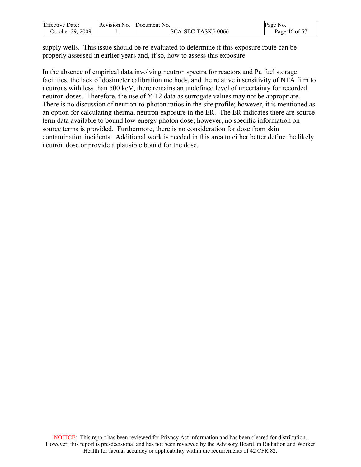| <b>Effective Date:</b> | Revision No. | Document No.       | Page No.      |
|------------------------|--------------|--------------------|---------------|
| October 29, 2009       |              | SCA-SEC-TASK5-0066 | Page 46 of 57 |

supply wells. This issue should be re-evaluated to determine if this exposure route can be properly assessed in earlier years and, if so, how to assess this exposure.

In the absence of empirical data involving neutron spectra for reactors and Pu fuel storage facilities, the lack of dosimeter calibration methods, and the relative insensitivity of NTA film to neutrons with less than 500 keV, there remains an undefined level of uncertainty for recorded neutron doses. Therefore, the use of Y-12 data as surrogate values may not be appropriate. There is no discussion of neutron-to-photon ratios in the site profile; however, it is mentioned as an option for calculating thermal neutron exposure in the ER. The ER indicates there are source term data available to bound low-energy photon dose; however, no specific information on source terms is provided. Furthermore, there is no consideration for dose from skin contamination incidents. Additional work is needed in this area to either better define the likely neutron dose or provide a plausible bound for the dose.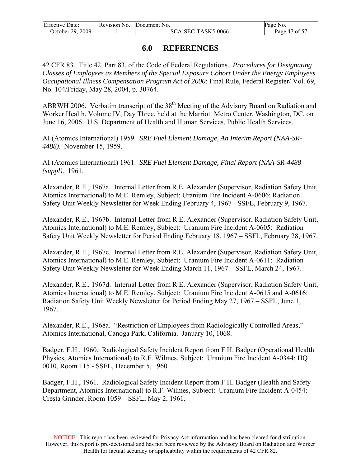<span id="page-46-0"></span>

| <b>Effective Date:</b> | Revision No. | Document No.       | Page No.      |
|------------------------|--------------|--------------------|---------------|
| October 29, 2009       |              | SCA-SEC-TASK5-0066 | Page 47 of 57 |

## **6.0 REFERENCES**

42 CFR 83. Title 42, Part 83, of the Code of Federal Regulations. *Procedures for Designating Classes of Employees as Members of the Special Exposure Cohort Under the Energy Employees Occupational Illness Compensation Program Act of 2000*; Final Rule, Federal Register/ Vol. 69, No. 104/Friday, May 28, 2004, p. 30764.

ABRWH 2006. Verbatim transcript of the 38<sup>th</sup> Meeting of the Advisory Board on Radiation and Worker Health, Volume IV, Day Three, held at the Marriott Metro Center, Washington, DC, on June 16, 2006. U.S. Department of Health and Human Services, Public Health Services.

AI (Atomics International) 1959. *SRE Fuel Element Damage, An Interim Report (NAA-SR-4488)*. November 15, 1959.

AI (Atomics International) 1961. *SRE Fuel Element Damage, Final Report (NAA-SR-4488 (suppl)*. 1961.

Alexander, R.E., 1967a. Internal Letter from R.E. Alexander (Supervisor, Radiation Safety Unit, Atomics International) to M.E. Remley, Subject: Uranium Fire Incident A-0606: Radiation Safety Unit Weekly Newsletter for Week Ending February 4, 1967 - SSFL, February 9, 1967.

Alexander, R.E., 1967b. Internal Letter from R.E. Alexander (Supervisor, Radiation Safety Unit, Atomics International) to M.E. Remley, Subject: Uranium Fire Incident A-0605: Radiation Safety Unit Weekly Newsletter for Period Ending February 18, 1967 – SSFL, February 28, 1967.

Alexander, R.E., 1967c. Internal Letter from R.E. Alexander (Supervisor, Radiation Safety Unit, Atomics International) to M.E. Remley, Subject: Uranium Fire Incident A-0611: Radiation Safety Unit Weekly Newsletter for Week Ending March 11, 1967 – SSFL, March 24, 1967.

Alexander, R.E., 1967d. Internal Letter from R.E. Alexander (Supervisor, Radiation Safety Unit, Atomics International) to M.E. Remley, Subject: Uranium Fire Incident A-0615 and A-0616: Radiation Safety Unit Weekly Newsletter for Period Ending May 27, 1967 – SSFL, June 1, 1967.

Alexander, R.E., 1968a. "Restriction of Employees from Radiologically Controlled Areas," Atomics International, Canoga Park, California. January 10, 1068.

Badger, F.H., 1960. Radiological Safety Incident Report from F.H. Badger (Operational Health Physics, Atomics International) to R.F. Wilmes, Subject: Uranium Fire Incident A-0344: HQ 0010, Room 115 - SSFL, December 5, 1960.

Badger, F.H., 1961. Radiological Safety Incident Report from F.H. Badger (Health and Safety Department, Atomics International) to R.F. Wilmes, Subject: Uranium Fire Incident A-0454: Cresta Grinder, Room 1059 – SSFL, May 2, 1961.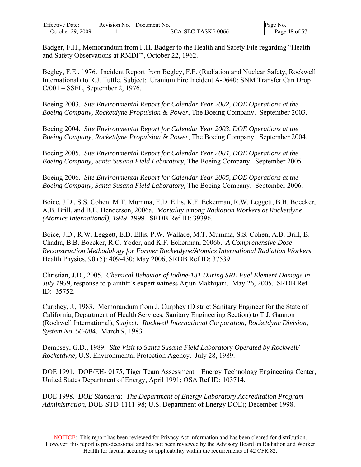| <b>Effective Date:</b> | Revision No. | Document No.       | Page No.      |
|------------------------|--------------|--------------------|---------------|
| October 29. 2009       |              | SCA-SEC-TASK5-0066 | Page 48 of 57 |

Badger, F.H., Memorandum from F.H. Badger to the Health and Safety File regarding "Health and Safety Observations at RMDF", October 22, 1962.

Begley, F.E., 1976. Incident Report from Begley, F.E. (Radiation and Nuclear Safety, Rockwell International) to R.J. Tuttle, Subject: Uranium Fire Incident A-0640: SNM Transfer Can Drop C/001 – SSFL, September 2, 1976.

Boeing 2003. *Site Environmental Report for Calendar Year 2002, DOE Operations at the Boeing Company, Rocketdyne Propulsion & Power*, The Boeing Company. September 2003.

Boeing 2004. *Site Environmental Report for Calendar Year 2003, DOE Operations at the Boeing Company, Rocketdyne Propulsion & Power*, The Boeing Company. September 2004.

Boeing 2005. *Site Environmental Report for Calendar Year 2004, DOE Operations at the Boeing Company, Santa Susana Field Laboratory*, The Boeing Company. September 2005.

Boeing 2006. *Site Environmental Report for Calendar Year 2005, DOE Operations at the Boeing Company, Santa Susana Field Laboratory,* The Boeing Company. September 2006.

Boice, J.D., S.S. Cohen, M.T. Mumma, E.D. Ellis, K.F. Eckerman, R.W. Leggett, B.B. Boecker, A.B. Brill, and B.E. Henderson, 2006a. *Mortality among Radiation Workers at Rocketdyne (Atomics International), 1949–1999.* SRDB Ref ID: 39396.

Boice, J.D., R.W. Leggett, E.D. Ellis, P.W. Wallace, M.T. Mumma, S.S. Cohen, A.B. Brill, B. Chadra, B.B. Boecker, R.C. Yoder, and K.F. Eckerman, 2006b. *A Comprehensive Dose Reconstruction Methodology for Former Rocketdyne/Atomics International Radiation Workers.* Health Physics, 90 (5): 409-430; May 2006; SRDB Ref ID: 37539.

Christian, J.D., 2005. *Chemical Behavior of Iodine-131 During SRE Fuel Element Damage in July 1959,* response to plaintiff's expert witness Arjun Makhijani. May 26, 2005. SRDB Ref ID: 35752.

Curphey, J., 1983. Memorandum from J. Curphey (District Sanitary Engineer for the State of California, Department of Health Services, Sanitary Engineering Section) to T.J. Gannon (Rockwell International), *Subject: Rockwell International Corporation, Rocketdyne Division, System No. 56-004*. March 9, 1983.

Dempsey, G.D., 1989. *Site Visit to Santa Susana Field Laboratory Operated by Rockwell/ Rocketdyne,* U.S. Environmental Protection Agency. July 28, 1989.

DOE 1991. DOE/EH- 0175, Tiger Team Assessment – Energy Technology Engineering Center, United States Department of Energy, April 1991; OSA Ref ID: 103714.

DOE 1998. *DOE Standard: The Department of Energy Laboratory Accreditation Program Administration*, DOE-STD-1111-98; U.S. Department of Energy DOE); December 1998.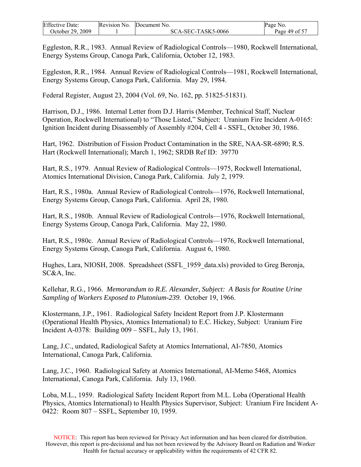| <b>Effective Date:</b> | Revision No. | Document No.       | Page<br>NO.   |
|------------------------|--------------|--------------------|---------------|
| October 29, 2009       |              | SCA-SEC-TASK5-0066 | Page 49 of 57 |

Eggleston, R.R., 1983. Annual Review of Radiological Controls—1980, Rockwell International, Energy Systems Group, Canoga Park, California, October 12, 1983.

Eggleston, R.R., 1984. Annual Review of Radiological Controls—1981, Rockwell International, Energy Systems Group, Canoga Park, California. May 29, 1984.

Federal Register, August 23, 2004 (Vol. 69, No. 162, pp. 51825-51831).

Harrison, D.J., 1986. Internal Letter from D.J. Harris (Member, Technical Staff, Nuclear Operation, Rockwell International) to "Those Listed," Subject: Uranium Fire Incident A-0165: Ignition Incident during Disassembly of Assembly #204, Cell 4 - SSFL, October 30, 1986.

Hart, 1962. Distribution of Fission Product Contamination in the SRE, NAA-SR-6890; R.S. Hart (Rockwell International); March 1, 1962; SRDB Ref ID: 39770

Hart, R.S., 1979. Annual Review of Radiological Controls—1975, Rockwell International, Atomics International Division, Canoga Park, California. July 2, 1979.

Hart, R.S., 1980a. Annual Review of Radiological Controls—1976, Rockwell International, Energy Systems Group, Canoga Park, California. April 28, 1980.

Hart, R.S., 1980b. Annual Review of Radiological Controls—1976, Rockwell International, Energy Systems Group, Canoga Park, California. May 22, 1980.

Hart, R.S., 1980c. Annual Review of Radiological Controls—1976, Rockwell International, Energy Systems Group, Canoga Park, California. August 6, 1980.

Hughes, Lara, NIOSH, 2008. Spreadsheet (SSFL\_1959\_data.xls) provided to Greg Beronja, SC&A, Inc.

Kellehar, R.G., 1966. *Memorandum to R.E. Alexander, Subject: A Basis for Routine Urine Sampling of Workers Exposed to Plutonium-239*. October 19, 1966.

Klostermann, J.P., 1961. Radiological Safety Incident Report from J.P. Klostermann (Operational Health Physics, Atomics International) to E.C. Hickey, Subject: Uranium Fire Incident A-0378: Building 009 – SSFL, July 13, 1961.

Lang, J.C., undated, Radiological Safety at Atomics International, AI-7850, Atomics International, Canoga Park, California.

Lang, J.C., 1960. Radiological Safety at Atomics International, AI-Memo 5468, Atomics International, Canoga Park, California. July 13, 1960.

Loba, M.L., 1959. Radiological Safety Incident Report from M.L. Loba (Operational Health Physics, Atomics International) to Health Physics Supervisor, Subject: Uranium Fire Incident A-0422: Room 807 – SSFL, September 10, 1959.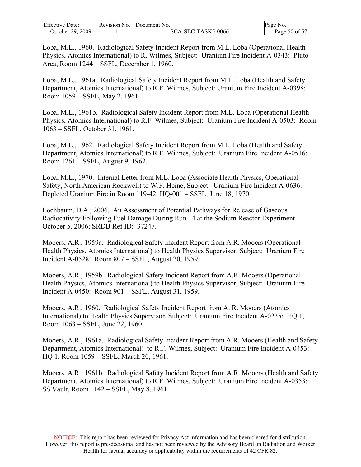| <b>Effective Date:</b> | Revision No. | Document No.       | Page No.      |
|------------------------|--------------|--------------------|---------------|
| October 29, 2009       |              | SCA-SEC-TASK5-0066 | Page 50 of 57 |

Loba, M.L., 1960. Radiological Safety Incident Report from M.L. Loba (Operational Health Physics, Atomics International) to R. Wilmes, Subject: Uranium Fire Incident A-0343: Pluto Area, Room 1244 – SSFL, December 1, 1960.

Loba, M.L., 1961a. Radiological Safety Incident Report from M.L. Loba (Health and Safety Department, Atomics International) to R.F. Wilmes, Subject: Uranium Fire Incident A-0398: Room 1059 – SSFL, May 2, 1961.

Loba, M.L., 1961b. Radiological Safety Incident Report from M.L. Loba (Operational Health Physics, Atomics International) to R.F. Wilmes, Subject: Uranium Fire Incident A-0503: Room 1063 – SSFL, October 31, 1961.

Loba, M.L., 1962. Radiological Safety Incident Report from M.L. Loba (Health and Safety Department, Atomics International) to R.F. Wilmes, Subject: Uranium Fire Incident A-0516: Room 1261 – SSFL, August 9, 1962.

Loba, M.L., 1970. Internal Letter from M.L. Loba (Associate Health Physics, Operational Safety, North American Rockwell) to W.F. Heine, Subject: Uranium Fire Incident A-0636: Depleted Uranium Fire in Room 119-42, HQ-001 – SSFL, June 18, 1970.

Lochbaum, D.A., 2006. An Assessment of Potential Pathways for Release of Gaseous Radiocativity Following Fuel Damage During Run 14 at the Sodium Reactor Experiment. October 5, 2006; SRDB Ref ID: 37247.

Mooers, A.R., 1959a. Radiological Safety Incident Report from A.R. Mooers (Operational Health Physics, Atomics International) to Health Physics Supervisor, Subject: Uranium Fire Incident A-0528: Room 807 – SSFL, August 20, 1959.

Mooers, A.R., 1959b. Radiological Safety Incident Report from A.R. Mooers (Operational Health Physics, Atomics International) to Health Physics Supervisor, Subject: Uranium Fire Incident A-0450: Room 901 – SSFL, August 31, 1959.

Mooers, A.R., 1960. Radiological Safety Incident Report from A. R. Mooers (Atomics International) to Health Physics Supervisor, Subject: Uranium Fire Incident A-0235: HQ 1, Room 1063 – SSFL, June 22, 1960.

Mooers, A.R., 1961a. Radiological Safety Incident Report from A.R. Mooers (Health and Safety Department, Atomics International) to R.F. Wilmes, Subject: Uranium Fire Incident A-0453: HQ 1, Room 1059 – SSFL, March 20, 1961.

Mooers, A.R., 1961b. Radiological Safety Incident Report from A.R. Mooers (Health and Safety Department, Atomics International) to R.F. Wilmes, Subject: Uranium Fire Incident A-0353: SS Vault, Room 1142 – SSFL, May 8, 1961.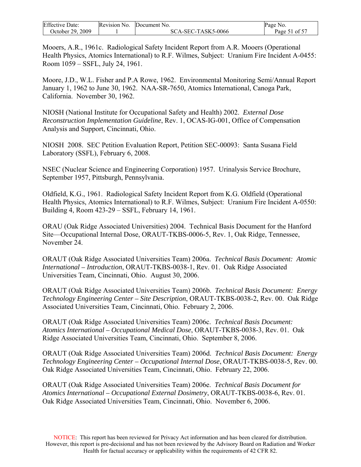| <b>Effective Date:</b> | Revision No. | Document No.       | Page No.      |
|------------------------|--------------|--------------------|---------------|
| October 29, 2009       |              | SCA-SEC-TASK5-0066 | Page 51 of 57 |

Mooers, A.R., 1961c. Radiological Safety Incident Report from A.R. Mooers (Operational Health Physics, Atomics International) to R.F. Wilmes, Subject: Uranium Fire Incident A-0455: Room 1059 – SSFL, July 24, 1961.

Moore, J.D., W.L. Fisher and P.A Rowe, 1962. Environmental Monitoring Semi/Annual Report January 1, 1962 to June 30, 1962. NAA-SR-7650, Atomics International, Canoga Park, California. November 30, 1962.

NIOSH (National Institute for Occupational Safety and Health) 2002. *External Dose Reconstruction Implementation Guideline*, Rev. 1, OCAS-IG-001, Office of Compensation Analysis and Support, Cincinnati, Ohio.

NIOSH 2008. SEC Petition Evaluation Report, Petition SEC-00093: Santa Susana Field Laboratory (SSFL), February 6, 2008.

NSEC (Nuclear Science and Engineering Corporation) 1957. Urinalysis Service Brochure, September 1957, Pittsburgh, Pennsylvania.

Oldfield, K.G., 1961. Radiological Safety Incident Report from K.G. Oldfield (Operational Health Physics, Atomics International) to R.F. Wilmes, Subject: Uranium Fire Incident A-0550: Building 4, Room 423-29 – SSFL, February 14, 1961.

ORAU (Oak Ridge Associated Universities) 2004. Technical Basis Document for the Hanford Site—Occupational Internal Dose, ORAUT-TKBS-0006-5, Rev. 1, Oak Ridge, Tennessee, November 24.

ORAUT (Oak Ridge Associated Universities Team) 2006a. *Technical Basis Document: Atomic International – Introduction*, ORAUT-TKBS-0038-1, Rev. 01. Oak Ridge Associated Universities Team, Cincinnati, Ohio. August 30, 2006.

ORAUT (Oak Ridge Associated Universities Team) 2006b. *Technical Basis Document: Energy Technology Engineering Center – Site Description*, ORAUT-TKBS-0038-2, Rev. 00. Oak Ridge Associated Universities Team, Cincinnati, Ohio. February 2, 2006.

ORAUT (Oak Ridge Associated Universities Team) 2006c. *Technical Basis Document: Atomics International – Occupational Medical Dose*, ORAUT-TKBS-0038-3, Rev. 01. Oak Ridge Associated Universities Team, Cincinnati, Ohio. September 8, 2006.

ORAUT (Oak Ridge Associated Universities Team) 2006d. *Technical Basis Document: Energy Technology Engineering Center – Occupational Internal Dose*, ORAUT-TKBS-0038-5, Rev. 00. Oak Ridge Associated Universities Team, Cincinnati, Ohio. February 22, 2006.

ORAUT (Oak Ridge Associated Universities Team) 2006e. *Technical Basis Document for Atomics International – Occupational External Dosimetry*, ORAUT-TKBS-0038-6, Rev. 01. Oak Ridge Associated Universities Team, Cincinnati, Ohio. November 6, 2006.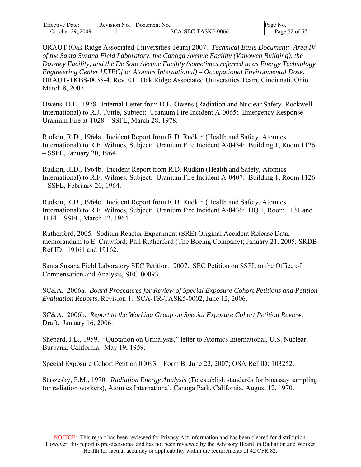| <b>Effective Date:</b> | Revision No. | Document No.       | Page No.      |
|------------------------|--------------|--------------------|---------------|
| October 29, 2009       |              | SCA-SEC-TASK5-0066 | Page 52 of 57 |

ORAUT (Oak Ridge Associated Universities Team) 2007. *Technical Basis Document: Area IV of the Santa Susana Field Laboratory, the Canoga Avenue Facility (Vanowen Building), the Downey Facility, and the De Soto Avenue Facility (sometimes referred to as Energy Technology Engineering Center [ETEC] or Atomics International) – Occupational Environmental Dose*, ORAUT-TKBS-0038-4, Rev. 01.Oak Ridge Associated Universities Team, Cincinnati, Ohio. March 8, 2007.

Owens, D.E., 1978. Internal Letter from D.E. Owens (Radiation and Nuclear Safety, Rockwell International) to R.J. Tuttle, Subject: Uranium Fire Incident A-0065: Emergency Response-Uranium Fire at T028 – SSFL, March 28, 1978.

Rudkin, R.D., 1964a. Incident Report from R.D. Rudkin (Health and Safety, Atomics International) to R.F. Wilmes, Subject: Uranium Fire Incident A-0434: Building 1, Room 1126 – SSFL, January 20, 1964.

Rudkin, R.D., 1964b. Incident Report from R.D. Rudkin (Health and Safety, Atomics International) to R.F. Wilmes, Subject: Uranium Fire Incident A-0407: Building 1, Room 1126 – SSFL, February 20, 1964.

Rudkin, R.D., 1964c. Incident Report from R.D. Rudkin (Health and Safety, Atomics International) to R.F. Wilmes, Subject: Uranium Fire Incident A-0436: HQ 1, Room 1131 and 1114 – SSFL, March 12, 1964.

Rutherford, 2005. Sodium Reactor Experiment (SRE) Original Accident Release Data, memorandum to E. Crawford; Phil Rutherford (The Boeing Company); January 21, 2005; SRDB Ref ID: 19161 and 19162.

Santa Susana Field Laboratory SEC Petition. 2007. SEC Petition on SSFL to the Office of Compensation and Analysis, SEC-00093.

SC&A. 2006a. *Board Procedures for Review of Special Exposure Cohort Petitions and Petition Evaluation Reports,* Revision 1. SCA-TR-TASK5-0002, June 12, 2006.

SC&A. 2006b. *Report to the Working Group on Special Exposure Cohort Petition Review,*  Draft. January 16, 2006.

Shepard, J.L., 1959. "Quotation on Urinalysis," letter to Atomics International, U.S. Nuclear, Burbank, California. May 19, 1959.

Special Exposure Cohort Petition 00093—Form B: June 22, 2007; OSA Ref ID: 103252.

Staszesky, F.M., 1970. *Radiation Energy Analysis* (To establish standards for bioassay sampling for radiation workers), Atomics International, Canoga Park, California, August 12, 1970.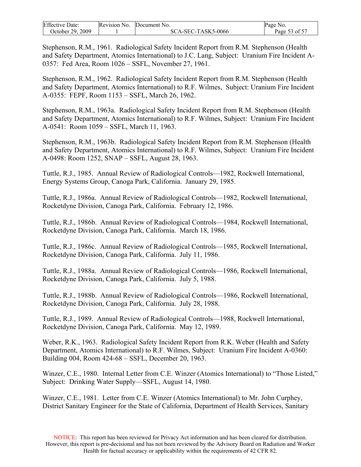| <b>Effective Date:</b> | Revision No. | Document No.       | Page<br>NO.       |
|------------------------|--------------|--------------------|-------------------|
| October 29. 2009       |              | SCA-SEC-TASK5-0066 | 3 of 57<br>Page 5 |

Stephenson, R.M., 1961. Radiological Safety Incident Report from R.M. Stephenson (Health and Safety Department, Atomics International) to J.C. Lang, Subject: Uranium Fire Incident A-0357: Fed Area, Room 1026 – SSFL, November 27, 1961.

Stephenson, R.M., 1962. Radiological Safety Incident Report from R.M. Stephenson (Health and Safety Department, Atomics International) to R.F. Wilmes, Subject: Uranium Fire Incident A-0355: FEPF, Room 1153 – SSFL, March 26, 1962.

Stephenson, R.M., 1963a. Radiological Safety Incident Report from R.M. Stephenson (Health and Safety Department, Atomics International) to R.F. Wilmes, Subject: Uranium Fire Incident A-0541: Room 1059 – SSFL, March 11, 1963.

Stephenson, R.M., 1963b. Radiological Safety Incident Report from R.M. Stephenson (Health and Safety Department, Atomics International) to R.F. Wilmes, Subject: Uranium Fire Incident A-0498: Room 1252, SNAP – SSFL, August 28, 1963.

Tuttle, R.J., 1985. Annual Review of Radiological Controls—1982, Rockwell International, Energy Systems Group, Canoga Park, California. January 29, 1985.

Tuttle, R.J., 1986a. Annual Review of Radiological Controls—1982, Rockwell International, Rocketdyne Division, Canoga Park, California. February 12, 1986.

Tuttle, R.J., 1986b. Annual Review of Radiological Controls—1984, Rockwell International, Rocketdyne Division, Canoga Park, California. March 18, 1986.

Tuttle, R.J., 1986c. Annual Review of Radiological Controls—1985, Rockwell International, Rocketdyne Division, Canoga Park, California. July 11, 1986.

Tuttle, R.J., 1988a. Annual Review of Radiological Controls—1986, Rockwell International, Rocketdyne Division, Canoga Park, California. July 5, 1988.

Tuttle, R.J., 1988b. Annual Review of Radiological Controls—1986, Rockwell International, Rocketdyne Division, Canoga Park, California. July 28, 1988.

Tuttle, R.J., 1989. Annual Review of Radiological Controls—1988, Rockwell International, Rocketdyne Division, Canoga Park, California. May 12, 1989.

Weber, R.K., 1963. Radiological Safety Incident Report from R.K. Weber (Health and Safety Department, Atomics International) to R.F. Wilmes, Subject: Uranium Fire Incident A-0360: Building 004, Room 424-68 – SSFL, December 20, 1963.

Winzer, C.E., 1980. Internal Letter from C.E. Winzer (Atomics International) to "Those Listed," Subject: Drinking Water Supply—SSFL, August 14, 1980.

Winzer, C.E., 1981. Letter from C.E. Winzer (Atomics International) to Mr. John Curphey, District Sanitary Engineer for the State of California, Department of Health Services, Sanitary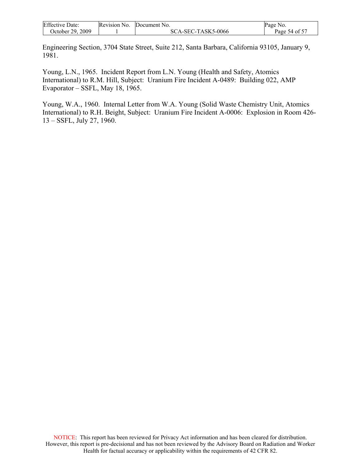| <b>Effective Date:</b> | Revision No. | Document No.       | Page No.      |
|------------------------|--------------|--------------------|---------------|
| October 29, 2009       |              | SCA-SEC-TASK5-0066 | Page 54 of 57 |

Engineering Section, 3704 State Street, Suite 212, Santa Barbara, California 93105, January 9, 1981.

Young, L.N., 1965. Incident Report from L.N. Young (Health and Safety, Atomics International) to R.M. Hill, Subject: Uranium Fire Incident A-0489: Building 022, AMP Evaporator – SSFL, May 18, 1965.

Young, W.A., 1960. Internal Letter from W.A. Young (Solid Waste Chemistry Unit, Atomics International) to R.H. Beight, Subject: Uranium Fire Incident A-0006: Explosion in Room 426- 13 – SSFL, July 27, 1960.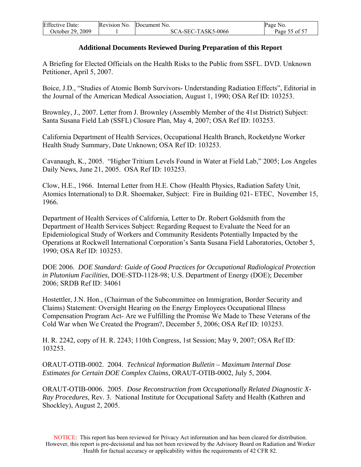| <b>Effective Date:</b> | Revision No. | Document No.       | Page No.      |
|------------------------|--------------|--------------------|---------------|
| October 29, 2009       |              | SCA-SEC-TASK5-0066 | Page 55 of 57 |

#### **Additional Documents Reviewed During Preparation of this Report**

A Briefing for Elected Officials on the Health Risks to the Public from SSFL. DVD. Unknown Petitioner, April 5, 2007.

Boice, J.D., "Studies of Atomic Bomb Survivors- Understanding Radiation Effects", Editorial in the Journal of the American Medical Association, August 1, 1990; OSA Ref ID: 103253.

Brownley, J., 2007. Letter from J. Brownley (Assembly Member of the 41st District) Subject: Santa Susana Field Lab (SSFL) Closure Plan, May 4, 2007; OSA Ref ID: 103253.

California Department of Health Services, Occupational Health Branch, Rocketdyne Worker Health Study Summary, Date Unknown; OSA Ref ID: 103253.

Cavanaugh, K., 2005. "Higher Tritium Levels Found in Water at Field Lab," 2005; Los Angeles Daily News, June 21, 2005. OSA Ref ID: 103253.

Clow, H.E., 1966. Internal Letter from H.E. Chow (Health Physics, Radiation Safety Unit, Atomics International) to D.R. Shoemaker, Subject: Fire in Building 021- ETEC,November 15, 1966*.* 

Department of Health Services of California, Letter to Dr. Robert Goldsmith from the Department of Health Services Subject: Regarding Request to Evaluate the Need for an Epidemiological Study of Workers and Community Residents Potentially Impacted by the Operations at Rockwell International Corporation's Santa Susana Field Laboratories, October 5, 1990; OSA Ref ID: 103253.

DOE 2006. *DOE Standard: Guide of Good Practices for Occupational Radiological Protection in Plutonium Facilities*, DOE-STD-1128-98; U.S. Department of Energy (DOE); December 2006; SRDB Ref ID: 34061

Hostettler, J.N. Hon., (Chairman of the Subcommittee on Immigration, Border Security and Claims) Statement: Oversight Hearing on the Energy Employees Occupational Illness Compensation Program Act- Are we Fulfilling the Promise We Made to These Veterans of the Cold War when We Created the Program?, December 5, 2006; OSA Ref ID: 103253.

H. R. 2242, copy of H. R. 2243; 110th Congress, 1st Session; May 9, 2007; OSA Ref ID: 103253.

ORAUT-OTIB-0002. 2004. *Technical Information Bulletin – Maximum Internal Dose Estimates for Certain DOE Complex Claims*, ORAUT-OTIB-0002, July 5, 2004.

ORAUT-OTIB-0006. 2005. *Dose Reconstruction from Occupationally Related Diagnostic X-Ray Procedures*, Rev. 3. National Institute for Occupational Safety and Health (Kathren and Shockley), August 2, 2005.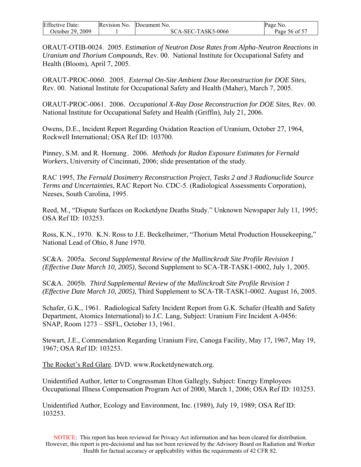| <b>Effective Date:</b> | Revision No. | Document No.       | Page No.      |
|------------------------|--------------|--------------------|---------------|
| October 29, 2009       |              | SCA-SEC-TASK5-0066 | Page 56 of 57 |

ORAUT-OTIB-0024. 2005. *Estimation of Neutron Dose Rates from Alpha-Neutron Reactions in Uranium and Thorium Compounds*, Rev. 00. National Institute for Occupational Safety and Health (Bloom), April 7, 2005.

ORAUT-PROC-0060. 2005. *External On-Site Ambient Dose Reconstruction for DOE Sites*, Rev. 00. National Institute for Occupational Safety and Health (Maher), March 7, 2005.

ORAUT-PROC-0061. 2006. *Occupational X-Ray Dose Reconstruction for DOE Sites*, Rev. 00. National Institute for Occupational Safety and Health (Griffin), July 21, 2006.

Owens, D.E., Incident Report Regarding Oxidation Reaction of Uranium, October 27, 1964, Rockwell International; OSA Ref ID: 103700.

Pinney, S.M. and R. Hornung . 2006. *Methods for Radon Exposure Estimates for Fernald Workers*, University of Cincinnati, 2006; slide presentation of the study.

RAC 1995, *The Fernald Dosimetry Reconstruction Project, Tasks 2 and 3 Radionuclide Source Terms and Uncertainties*, RAC Report No. CDC-5. (Radiological Assessments Corporation), Neeses, South Carolina, 1995.

Reed, M., "Dispute Surfaces on Rocketdyne Deaths Study." Unknown Newspaper July 11, 1995; OSA Ref ID: 103253.

Ross, K.N., 1970. K.N. Ross to J.E. Beckelheimer, "Thorium Metal Production Housekeeping," National Lead of Ohio, 8 June 1970.

SC&A. 2005a. *Second Supplemental Review of the Mallinckrodt Site Profile Revision 1 (Effective Date March 10, 2005)*, Second Supplement to SCA-TR-TASK1-0002, July 1, 2005.

SC&A. 2005b. *Third Supplemental Review of the Mallinckrodt Site Profile Revision 1 (Effective Date March 10, 2005)*, Third Supplement to SCA-TR-TASK1-0002. August 16, 2005.

Schafer, G.K., 1961. Radiological Safety Incident Report from G.K. Schafer (Health and Safety Department, Atomics International) to J.C. Lang, Subject: Uranium Fire Incident A-0456: SNAP, Room 1273 – SSFL, October 13, 1961.

Stewart, J.E., Commendation Regarding Uranium Fire, Canoga Facility, May 17, 1967, May 19, 1967; OSA Ref ID: 103253.

The Rocket's Red Glare. DVD. [www.Rocketdynewatch.org](http://www.rocketdynewatch.org/).

Unidentified Author, letter to Congressman Elton Gallegly, Subject: Energy Employees Occupational Illness Compensation Program Act of 2000, March 1, 2006; OSA Ref ID: 103253.

Unidentified Author, Ecology and Environment, Inc. (1989), July 19, 1989; OSA Ref ID: 103253.